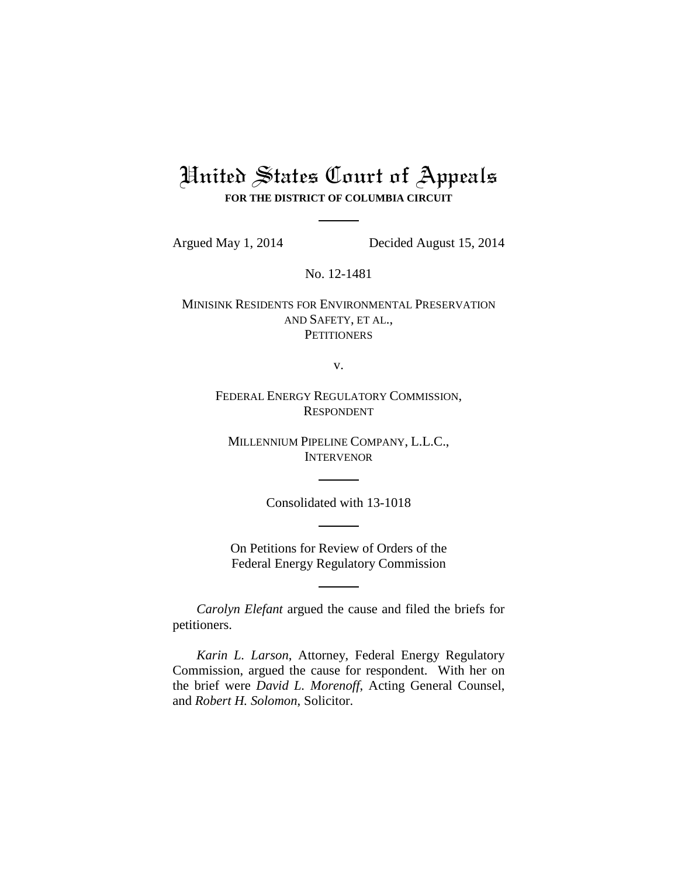# United States Court of Appeals **FOR THE DISTRICT OF COLUMBIA CIRCUIT**

Argued May 1, 2014 Decided August 15, 2014

No. 12-1481

MINISINK RESIDENTS FOR ENVIRONMENTAL PRESERVATION AND SAFETY, ET AL., **PETITIONERS** 

v.

FEDERAL ENERGY REGULATORY COMMISSION, RESPONDENT

MILLENNIUM PIPELINE COMPANY, L.L.C., INTERVENOR

Consolidated with 13-1018

On Petitions for Review of Orders of the Federal Energy Regulatory Commission

*Carolyn Elefant* argued the cause and filed the briefs for petitioners.

*Karin L. Larson*, Attorney, Federal Energy Regulatory Commission, argued the cause for respondent. With her on the brief were *David L. Morenoff*, Acting General Counsel, and *Robert H. Solomon*, Solicitor.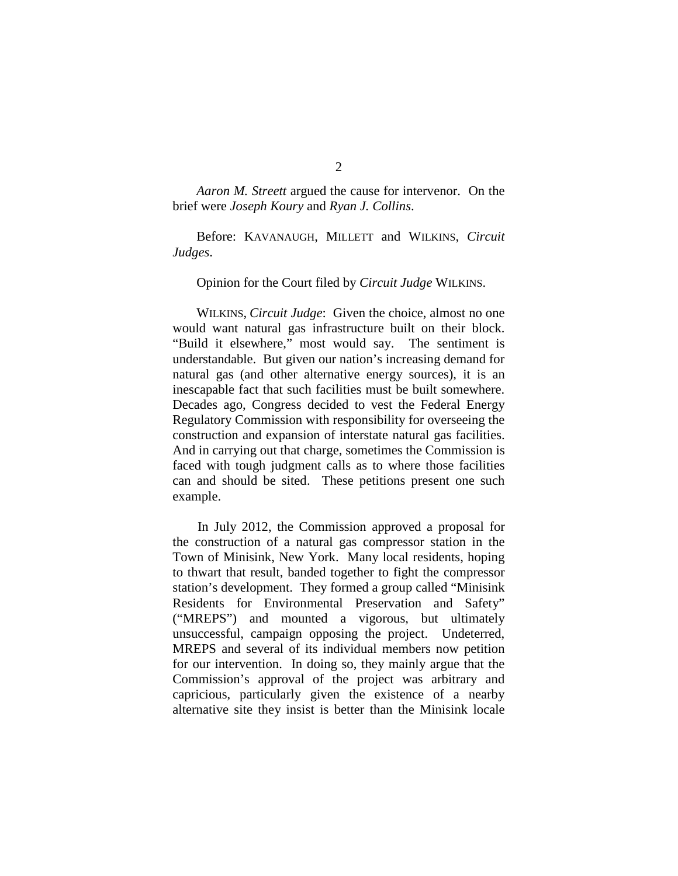*Aaron M. Streett* argued the cause for intervenor. On the brief were *Joseph Koury* and *Ryan J. Collins*.

Before: KAVANAUGH, MILLETT and WILKINS, *Circuit Judges*.

## Opinion for the Court filed by *Circuit Judge* WILKINS.

WILKINS, *Circuit Judge*: Given the choice, almost no one would want natural gas infrastructure built on their block. "Build it elsewhere," most would say. The sentiment is understandable. But given our nation's increasing demand for natural gas (and other alternative energy sources), it is an inescapable fact that such facilities must be built somewhere. Decades ago, Congress decided to vest the Federal Energy Regulatory Commission with responsibility for overseeing the construction and expansion of interstate natural gas facilities. And in carrying out that charge, sometimes the Commission is faced with tough judgment calls as to where those facilities can and should be sited. These petitions present one such example.

In July 2012, the Commission approved a proposal for the construction of a natural gas compressor station in the Town of Minisink, New York. Many local residents, hoping to thwart that result, banded together to fight the compressor station's development. They formed a group called "Minisink Residents for Environmental Preservation and Safety" ("MREPS") and mounted a vigorous, but ultimately unsuccessful, campaign opposing the project. Undeterred, MREPS and several of its individual members now petition for our intervention. In doing so, they mainly argue that the Commission's approval of the project was arbitrary and capricious, particularly given the existence of a nearby alternative site they insist is better than the Minisink locale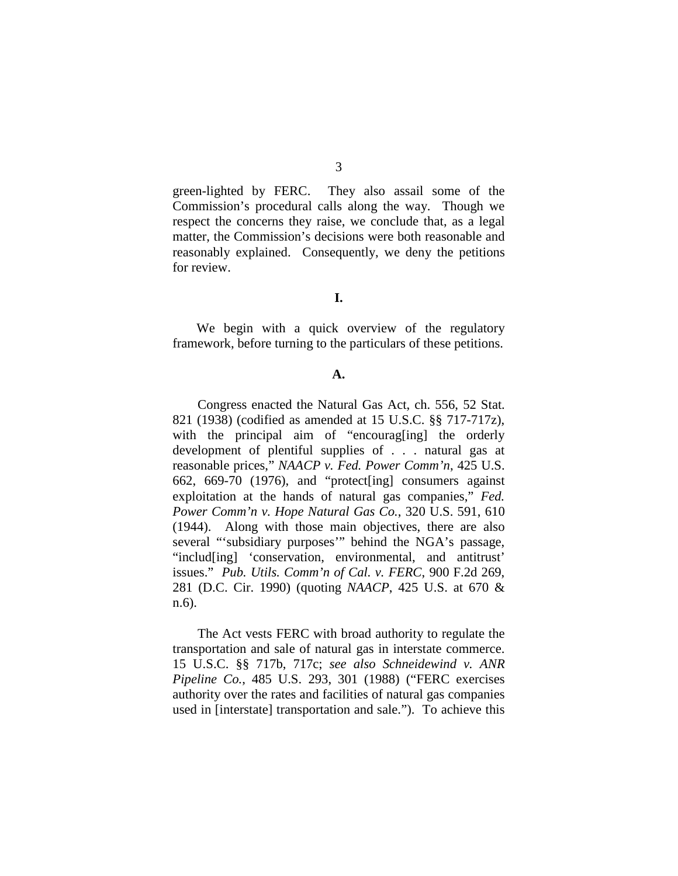green-lighted by FERC. They also assail some of the Commission's procedural calls along the way. Though we respect the concerns they raise, we conclude that, as a legal matter, the Commission's decisions were both reasonable and reasonably explained. Consequently, we deny the petitions for review.

**I.**

We begin with a quick overview of the regulatory framework, before turning to the particulars of these petitions.

#### **A.**

Congress enacted the Natural Gas Act, ch. 556, 52 Stat. 821 (1938) (codified as amended at 15 U.S.C. §§ 717-717z), with the principal aim of "encourag[ing] the orderly development of plentiful supplies of . . . natural gas at reasonable prices," *NAACP v. Fed. Power Comm'n*, 425 U.S. 662, 669-70 (1976), and "protect[ing] consumers against exploitation at the hands of natural gas companies," *Fed. Power Comm'n v. Hope Natural Gas Co.*, 320 U.S. 591, 610 (1944). Along with those main objectives, there are also several "'subsidiary purposes'" behind the NGA's passage, "includ[ing] 'conservation, environmental, and antitrust' issues." *Pub. Utils. Comm'n of Cal. v. FERC*, 900 F.2d 269, 281 (D.C. Cir. 1990) (quoting *NAACP*, 425 U.S. at 670 & n.6).

The Act vests FERC with broad authority to regulate the transportation and sale of natural gas in interstate commerce. 15 U.S.C. §§ 717b, 717c; *see also Schneidewind v. ANR Pipeline Co.*, 485 U.S. 293, 301 (1988) ("FERC exercises authority over the rates and facilities of natural gas companies used in [interstate] transportation and sale.").To achieve this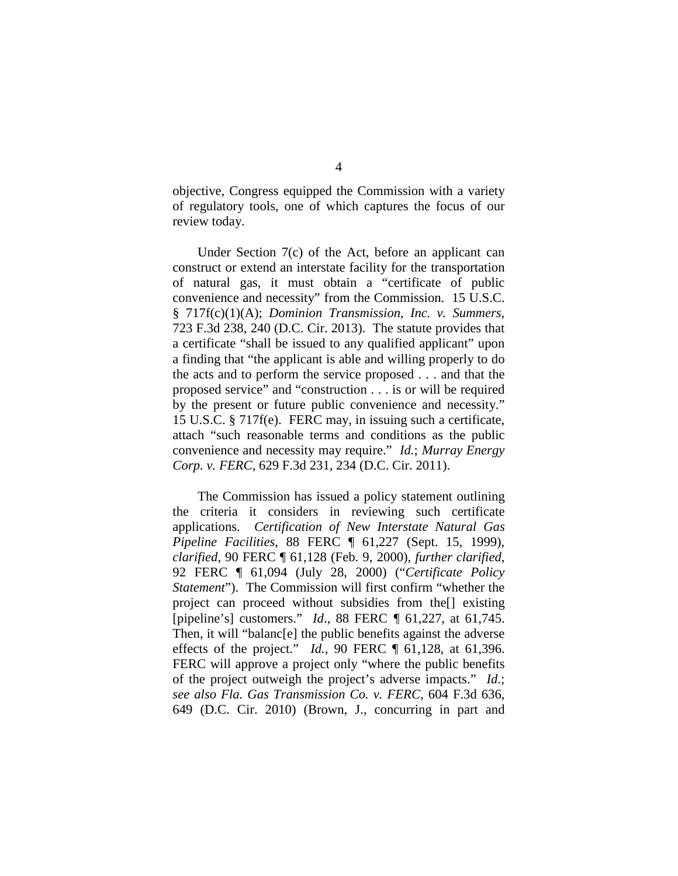objective, Congress equipped the Commission with a variety of regulatory tools, one of which captures the focus of our review today.

Under Section 7(c) of the Act, before an applicant can construct or extend an interstate facility for the transportation of natural gas, it must obtain a "certificate of public convenience and necessity" from the Commission. 15 U.S.C. § 717f(c)(1)(A); *Dominion Transmission, Inc. v. Summers*, 723 F.3d 238, 240 (D.C. Cir. 2013). The statute provides that a certificate "shall be issued to any qualified applicant" upon a finding that "the applicant is able and willing properly to do the acts and to perform the service proposed . . . and that the proposed service" and "construction . . . is or will be required by the present or future public convenience and necessity." 15 U.S.C. § 717f(e). FERC may, in issuing such a certificate, attach "such reasonable terms and conditions as the public convenience and necessity may require." *Id.*; *Murray Energy Corp. v. FERC*, 629 F.3d 231, 234 (D.C. Cir. 2011).

The Commission has issued a policy statement outlining the criteria it considers in reviewing such certificate applications. *Certification of New Interstate Natural Gas Pipeline Facilities*, 88 FERC ¶ 61,227 (Sept. 15, 1999), *clarified*, 90 FERC ¶ 61,128 (Feb. 9, 2000), *further clarified*, 92 FERC ¶ 61,094 (July 28, 2000) ("*Certificate Policy Statement*"). The Commission will first confirm "whether the project can proceed without subsidies from the[] existing [pipeline's] customers." *Id*., 88 FERC *¶* 61,227, at 61,745. Then, it will "balanc[e] the public benefits against the adverse effects of the project." *Id.*, 90 FERC ¶ 61,128, at 61,396. FERC will approve a project only "where the public benefits of the project outweigh the project's adverse impacts." *Id*.; *see also Fla. Gas Transmission Co. v. FERC*, 604 F.3d 636, 649 (D.C. Cir. 2010) (Brown, J., concurring in part and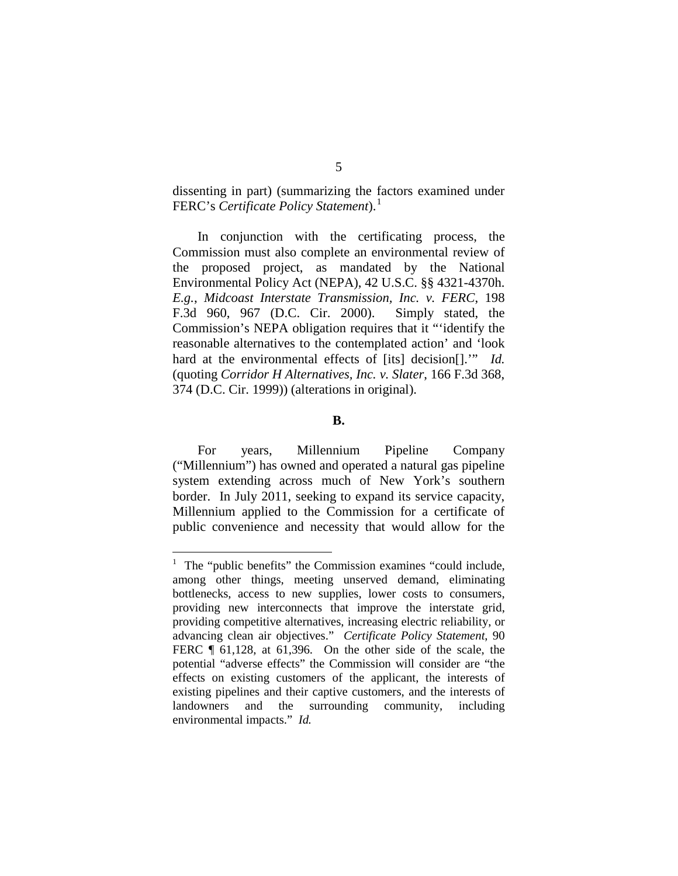dissenting in part) (summarizing the factors examined under FERC's *Certificate Policy Statement*).[1](#page-4-0)

In conjunction with the certificating process, the Commission must also complete an environmental review of the proposed project, as mandated by the National Environmental Policy Act (NEPA), 42 U.S.C. §§ 4321-4370h. *E.g.*, *Midcoast Interstate Transmission, Inc. v. FERC*, 198 F.3d 960, 967 (D.C. Cir. 2000). Simply stated, the Commission's NEPA obligation requires that it "'identify the reasonable alternatives to the contemplated action' and 'look hard at the environmental effects of [its] decision[]."" *Id.* (quoting *Corridor H Alternatives, Inc. v. Slater*, 166 F.3d 368, 374 (D.C. Cir. 1999)) (alterations in original).

**B.**

For years, Millennium Pipeline Company ("Millennium") has owned and operated a natural gas pipeline system extending across much of New York's southern border. In July 2011, seeking to expand its service capacity, Millennium applied to the Commission for a certificate of public convenience and necessity that would allow for the

<span id="page-4-0"></span> $\frac{1}{1}$  The "public benefits" the Commission examines "could include, among other things, meeting unserved demand, eliminating bottlenecks, access to new supplies, lower costs to consumers, providing new interconnects that improve the interstate grid, providing competitive alternatives, increasing electric reliability, or advancing clean air objectives." *Certificate Policy Statement*, 90 FERC  $\parallel$  61,128, at 61,396. On the other side of the scale, the potential "adverse effects" the Commission will consider are "the effects on existing customers of the applicant, the interests of existing pipelines and their captive customers, and the interests of landowners and the surrounding community, including environmental impacts." *Id.*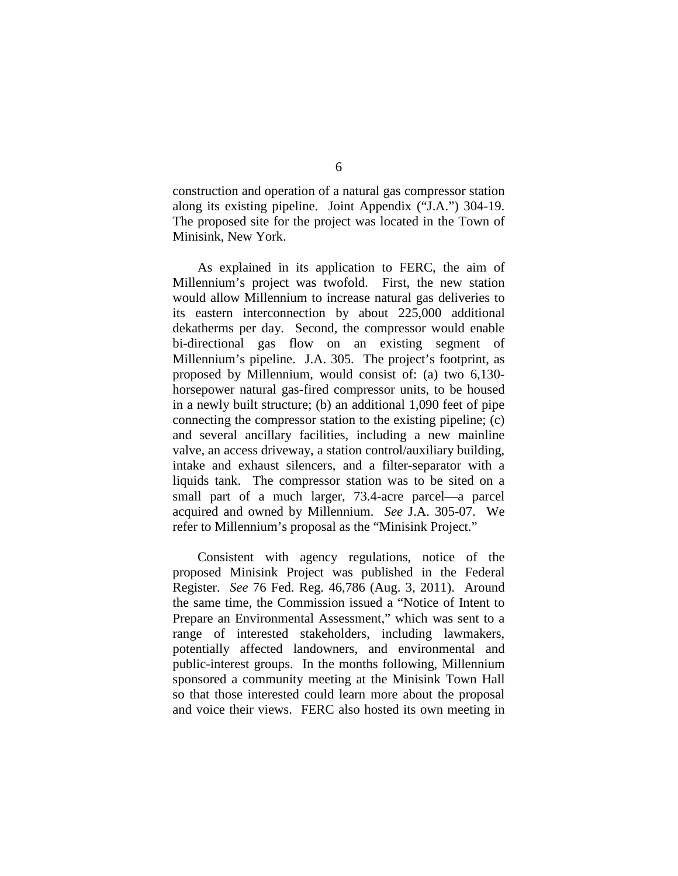construction and operation of a natural gas compressor station along its existing pipeline. Joint Appendix ("J.A.") 304-19. The proposed site for the project was located in the Town of Minisink, New York.

As explained in its application to FERC, the aim of Millennium's project was twofold. First, the new station would allow Millennium to increase natural gas deliveries to its eastern interconnection by about 225,000 additional dekatherms per day. Second, the compressor would enable bi-directional gas flow on an existing segment of Millennium's pipeline. J.A. 305. The project's footprint, as proposed by Millennium, would consist of: (a) two 6,130 horsepower natural gas-fired compressor units, to be housed in a newly built structure; (b) an additional 1,090 feet of pipe connecting the compressor station to the existing pipeline; (c) and several ancillary facilities, including a new mainline valve, an access driveway, a station control/auxiliary building, intake and exhaust silencers, and a filter-separator with a liquids tank. The compressor station was to be sited on a small part of a much larger, 73.4-acre parcel—a parcel acquired and owned by Millennium. *See* J.A. 305-07. We refer to Millennium's proposal as the "Minisink Project."

Consistent with agency regulations, notice of the proposed Minisink Project was published in the Federal Register. *See* 76 Fed. Reg. 46,786 (Aug. 3, 2011). Around the same time, the Commission issued a "Notice of Intent to Prepare an Environmental Assessment," which was sent to a range of interested stakeholders, including lawmakers, potentially affected landowners, and environmental and public-interest groups. In the months following, Millennium sponsored a community meeting at the Minisink Town Hall so that those interested could learn more about the proposal and voice their views. FERC also hosted its own meeting in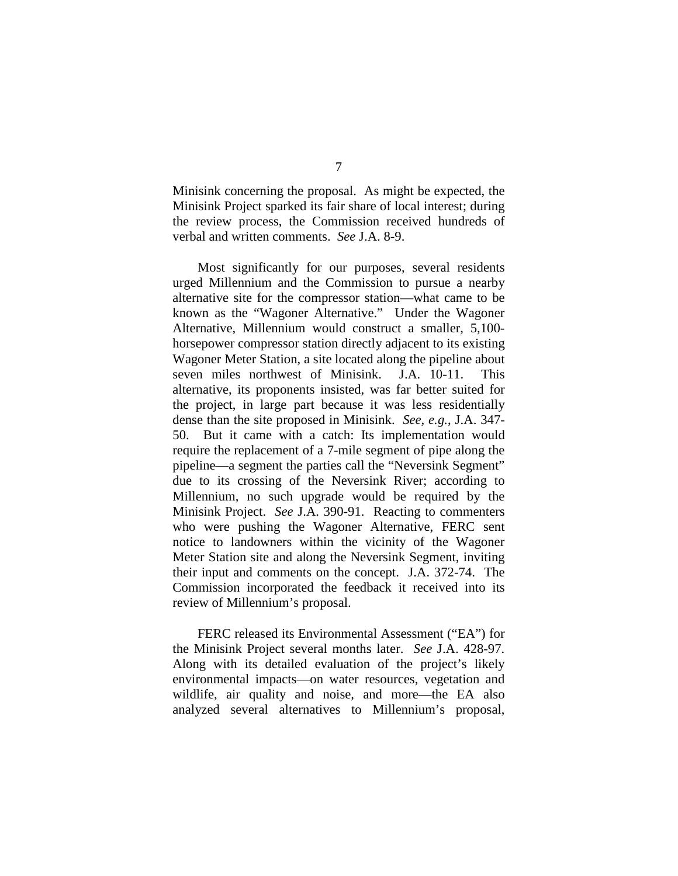Minisink concerning the proposal. As might be expected, the Minisink Project sparked its fair share of local interest; during the review process, the Commission received hundreds of verbal and written comments. *See* J.A. 8-9.

Most significantly for our purposes, several residents urged Millennium and the Commission to pursue a nearby alternative site for the compressor station—what came to be known as the "Wagoner Alternative." Under the Wagoner Alternative, Millennium would construct a smaller, 5,100 horsepower compressor station directly adjacent to its existing Wagoner Meter Station, a site located along the pipeline about seven miles northwest of Minisink. J.A*.* 10-11. This alternative, its proponents insisted, was far better suited for the project, in large part because it was less residentially dense than the site proposed in Minisink. *See, e.g.*, J.A. 347- 50. But it came with a catch: Its implementation would require the replacement of a 7-mile segment of pipe along the pipeline—a segment the parties call the "Neversink Segment" due to its crossing of the Neversink River; according to Millennium, no such upgrade would be required by the Minisink Project. *See* J.A. 390-91. Reacting to commenters who were pushing the Wagoner Alternative, FERC sent notice to landowners within the vicinity of the Wagoner Meter Station site and along the Neversink Segment, inviting their input and comments on the concept. J.A. 372-74. The Commission incorporated the feedback it received into its review of Millennium's proposal.

FERC released its Environmental Assessment ("EA") for the Minisink Project several months later. *See* J.A. 428-97. Along with its detailed evaluation of the project's likely environmental impacts—on water resources, vegetation and wildlife, air quality and noise, and more—the EA also analyzed several alternatives to Millennium's proposal,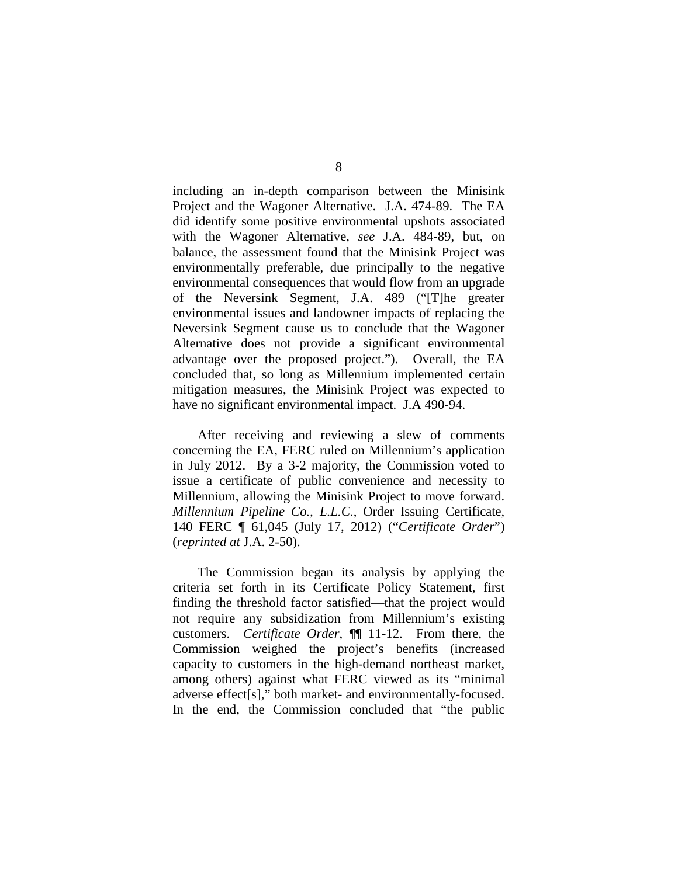including an in-depth comparison between the Minisink Project and the Wagoner Alternative. J.A. 474-89. The EA did identify some positive environmental upshots associated with the Wagoner Alternative, *see* J.A. 484-89, but, on balance, the assessment found that the Minisink Project was environmentally preferable, due principally to the negative environmental consequences that would flow from an upgrade of the Neversink Segment, J.A. 489 ("[T]he greater environmental issues and landowner impacts of replacing the Neversink Segment cause us to conclude that the Wagoner Alternative does not provide a significant environmental advantage over the proposed project."). Overall, the EA concluded that, so long as Millennium implemented certain mitigation measures, the Minisink Project was expected to have no significant environmental impact. J.A 490-94.

After receiving and reviewing a slew of comments concerning the EA, FERC ruled on Millennium's application in July 2012. By a 3-2 majority, the Commission voted to issue a certificate of public convenience and necessity to Millennium, allowing the Minisink Project to move forward. *Millennium Pipeline Co., L.L.C.*, Order Issuing Certificate, 140 FERC ¶ 61,045 (July 17, 2012) ("*Certificate Order*") (*reprinted at* J.A. 2-50).

The Commission began its analysis by applying the criteria set forth in its Certificate Policy Statement, first finding the threshold factor satisfied—that the project would not require any subsidization from Millennium's existing customers. *Certificate Order*, ¶¶ 11-12. From there, the Commission weighed the project's benefits (increased capacity to customers in the high-demand northeast market, among others) against what FERC viewed as its "minimal adverse effect[s]," both market- and environmentally-focused. In the end, the Commission concluded that "the public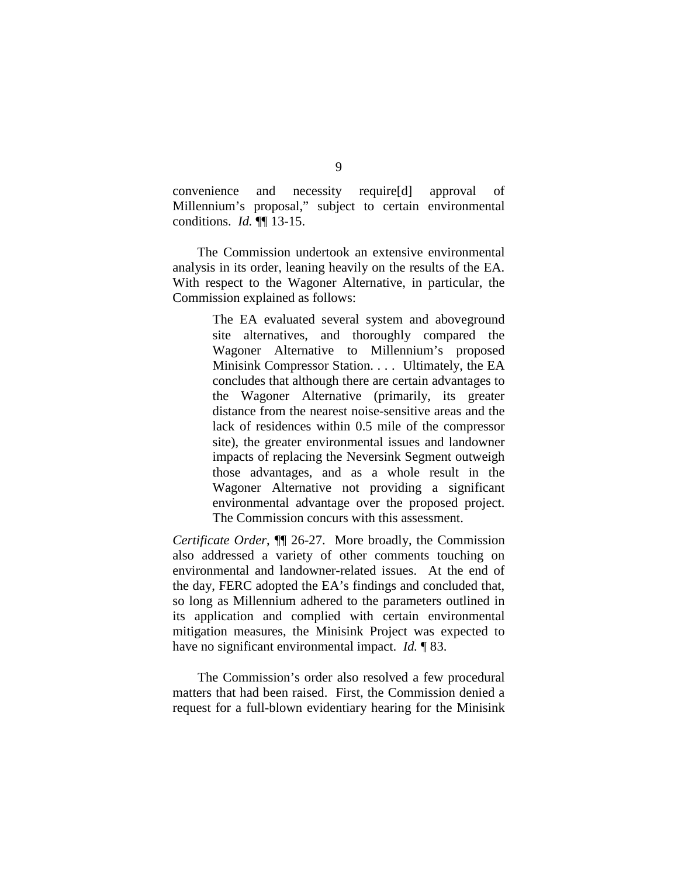convenience and necessity require[d] approval of Millennium's proposal," subject to certain environmental conditions. *Id.* ¶¶ 13-15.

The Commission undertook an extensive environmental analysis in its order, leaning heavily on the results of the EA. With respect to the Wagoner Alternative, in particular, the Commission explained as follows:

> The EA evaluated several system and aboveground site alternatives, and thoroughly compared the Wagoner Alternative to Millennium's proposed Minisink Compressor Station. . . . Ultimately, the EA concludes that although there are certain advantages to the Wagoner Alternative (primarily, its greater distance from the nearest noise-sensitive areas and the lack of residences within 0.5 mile of the compressor site), the greater environmental issues and landowner impacts of replacing the Neversink Segment outweigh those advantages, and as a whole result in the Wagoner Alternative not providing a significant environmental advantage over the proposed project. The Commission concurs with this assessment.

*Certificate Order*, ¶¶ 26-27. More broadly, the Commission also addressed a variety of other comments touching on environmental and landowner-related issues. At the end of the day, FERC adopted the EA's findings and concluded that, so long as Millennium adhered to the parameters outlined in its application and complied with certain environmental mitigation measures, the Minisink Project was expected to have no significant environmental impact. *Id.* ¶ 83.

The Commission's order also resolved a few procedural matters that had been raised. First, the Commission denied a request for a full-blown evidentiary hearing for the Minisink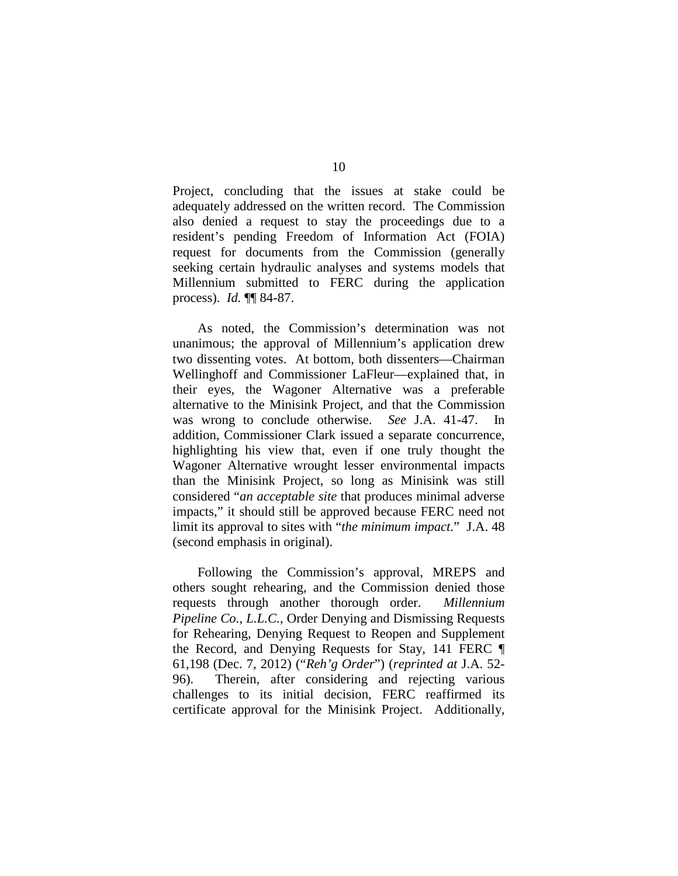Project, concluding that the issues at stake could be adequately addressed on the written record. The Commission also denied a request to stay the proceedings due to a resident's pending Freedom of Information Act (FOIA) request for documents from the Commission (generally seeking certain hydraulic analyses and systems models that Millennium submitted to FERC during the application process). *Id.* ¶¶ 84-87.

As noted, the Commission's determination was not unanimous; the approval of Millennium's application drew two dissenting votes. At bottom, both dissenters—Chairman Wellinghoff and Commissioner LaFleur—explained that, in their eyes, the Wagoner Alternative was a preferable alternative to the Minisink Project, and that the Commission was wrong to conclude otherwise. *See* J.A. 41-47. In addition, Commissioner Clark issued a separate concurrence, highlighting his view that, even if one truly thought the Wagoner Alternative wrought lesser environmental impacts than the Minisink Project, so long as Minisink was still considered "*an acceptable site* that produces minimal adverse impacts," it should still be approved because FERC need not limit its approval to sites with "*the minimum impact*." J.A. 48 (second emphasis in original).

Following the Commission's approval, MREPS and others sought rehearing, and the Commission denied those requests through another thorough order. *Millennium Pipeline Co., L.L.C.*, Order Denying and Dismissing Requests for Rehearing, Denying Request to Reopen and Supplement the Record, and Denying Requests for Stay, 141 FERC ¶ 61,198 (Dec. 7, 2012) ("*Reh'g Order*") (*reprinted at* J.A. 52- 96). Therein, after considering and rejecting various challenges to its initial decision, FERC reaffirmed its certificate approval for the Minisink Project. Additionally,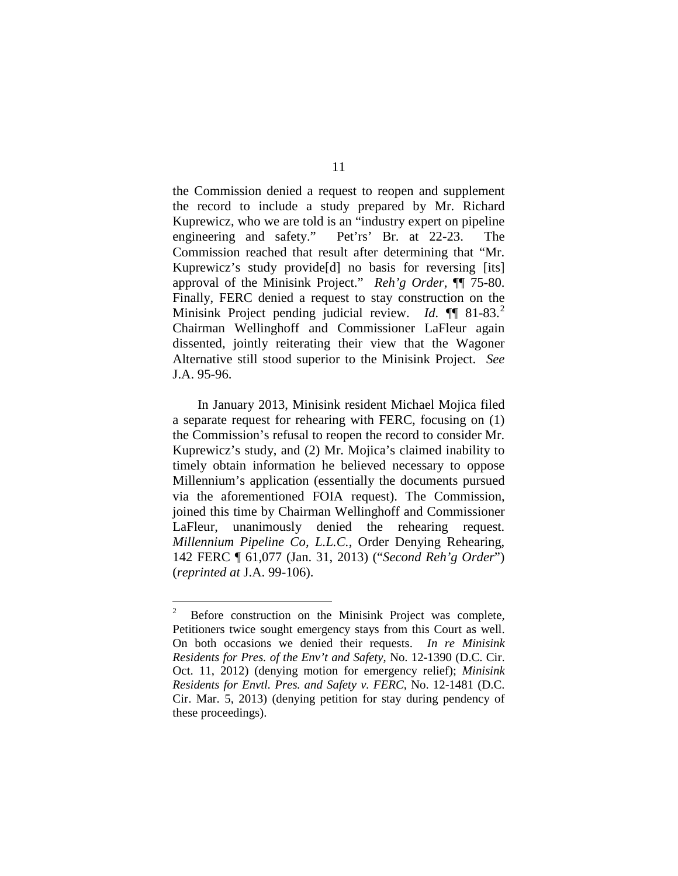the Commission denied a request to reopen and supplement the record to include a study prepared by Mr. Richard Kuprewicz, who we are told is an "industry expert on pipeline engineering and safety." Pet'rs' Br. at 22-23. The Commission reached that result after determining that "Mr. Kuprewicz's study provide[d] no basis for reversing [its] approval of the Minisink Project." *Reh'g Order*, ¶¶ 75-80. Finally, FERC denied a request to stay construction on the Minisink Project pending judicial review. *Id.* **[1**] 81-83.<sup>[2](#page-10-0)</sup> Chairman Wellinghoff and Commissioner LaFleur again dissented, jointly reiterating their view that the Wagoner Alternative still stood superior to the Minisink Project. *See*  J.A. 95-96.

In January 2013, Minisink resident Michael Mojica filed a separate request for rehearing with FERC, focusing on (1) the Commission's refusal to reopen the record to consider Mr. Kuprewicz's study, and (2) Mr. Mojica's claimed inability to timely obtain information he believed necessary to oppose Millennium's application (essentially the documents pursued via the aforementioned FOIA request). The Commission, joined this time by Chairman Wellinghoff and Commissioner LaFleur, unanimously denied the rehearing request. *Millennium Pipeline Co, L.L.C.*, Order Denying Rehearing, 142 FERC ¶ 61,077 (Jan. 31, 2013) ("*Second Reh'g Order*") (*reprinted at* J.A. 99-106).

<span id="page-10-0"></span> $\frac{1}{2}$  Before construction on the Minisink Project was complete, Petitioners twice sought emergency stays from this Court as well. On both occasions we denied their requests. *In re Minisink Residents for Pres. of the Env't and Safety*, No. 12-1390 (D.C. Cir. Oct. 11, 2012) (denying motion for emergency relief); *Minisink Residents for Envtl. Pres. and Safety v. FERC*, No. 12-1481 (D.C. Cir. Mar. 5, 2013) (denying petition for stay during pendency of these proceedings).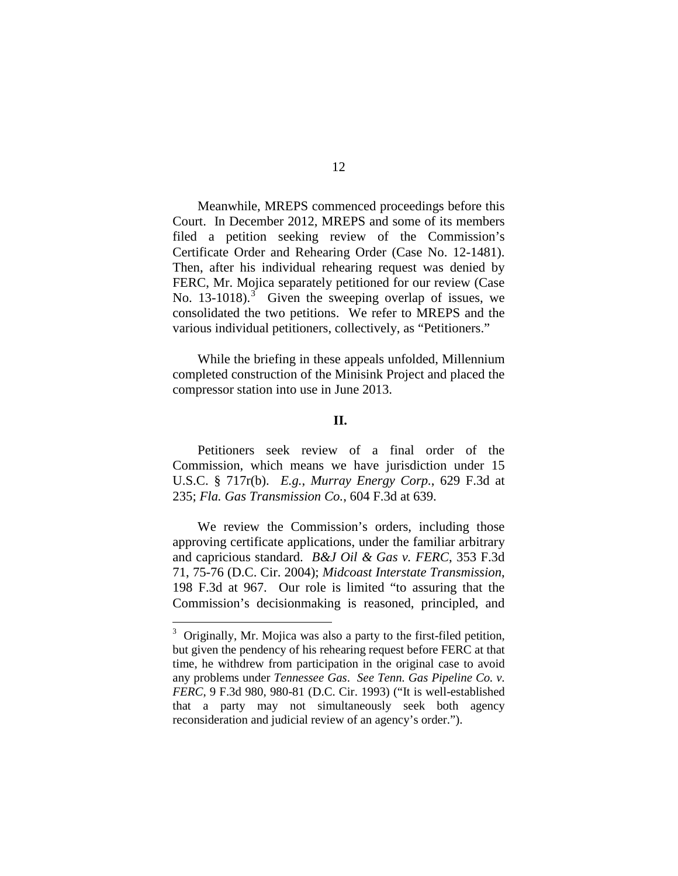Meanwhile, MREPS commenced proceedings before this Court. In December 2012, MREPS and some of its members filed a petition seeking review of the Commission's Certificate Order and Rehearing Order (Case No. 12-1481). Then, after his individual rehearing request was denied by FERC, Mr. Mojica separately petitioned for our review (Case No.  $13-1018$  $13-1018$  $13-1018$ ).<sup>3</sup> Given the sweeping overlap of issues, we consolidated the two petitions. We refer to MREPS and the various individual petitioners, collectively, as "Petitioners."

While the briefing in these appeals unfolded, Millennium completed construction of the Minisink Project and placed the compressor station into use in June 2013.

## **II.**

Petitioners seek review of a final order of the Commission, which means we have jurisdiction under 15 U.S.C. § 717r(b). *E.g.*, *Murray Energy Corp.*, 629 F.3d at 235; *Fla. Gas Transmission Co.*, 604 F.3d at 639.

We review the Commission's orders, including those approving certificate applications, under the familiar arbitrary and capricious standard. *B&J Oil & Gas v. FERC*, 353 F.3d 71, 75-76 (D.C. Cir. 2004); *Midcoast Interstate Transmission*, 198 F.3d at 967. Our role is limited "to assuring that the Commission's decisionmaking is reasoned, principled, and

<span id="page-11-0"></span> <sup>3</sup>  $3$  Originally, Mr. Mojica was also a party to the first-filed petition, but given the pendency of his rehearing request before FERC at that time, he withdrew from participation in the original case to avoid any problems under *Tennessee Gas*. *See Tenn. Gas Pipeline Co. v. FERC*, 9 F.3d 980, 980-81 (D.C. Cir. 1993) ("It is well-established that a party may not simultaneously seek both agency reconsideration and judicial review of an agency's order.").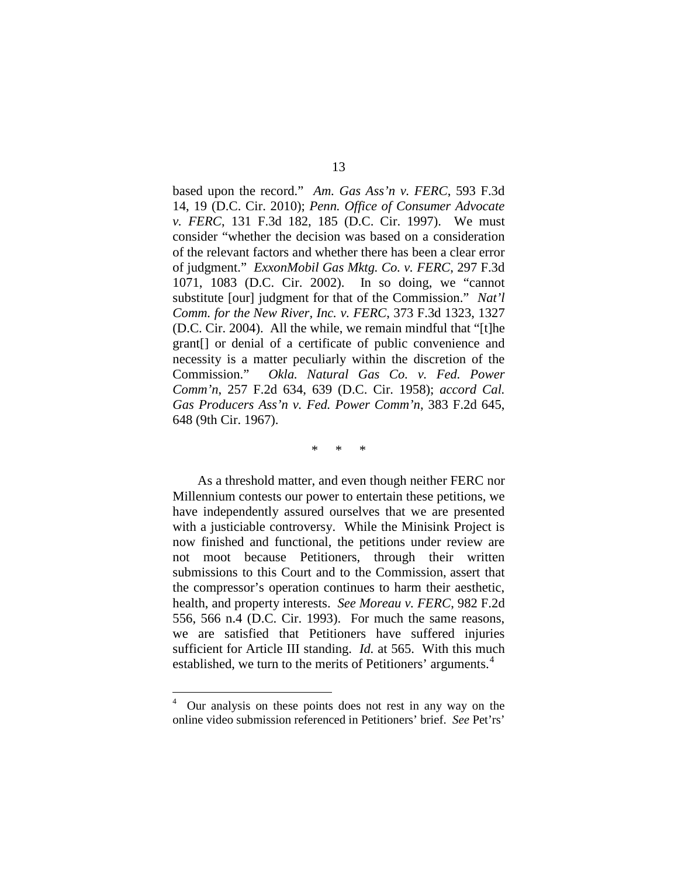based upon the record." *Am. Gas Ass'n v. FERC*, 593 F.3d 14, 19 (D.C. Cir. 2010); *Penn. Office of Consumer Advocate v. FERC*, 131 F.3d 182, 185 (D.C. Cir. 1997). We must consider "whether the decision was based on a consideration of the relevant factors and whether there has been a clear error of judgment." *ExxonMobil Gas Mktg. Co. v. FERC*, 297 F.3d 1071, 1083 (D.C. Cir. 2002). In so doing, we "cannot substitute [our] judgment for that of the Commission." *Nat'l Comm. for the New River, Inc. v. FERC*, 373 F.3d 1323, 1327 (D.C. Cir. 2004). All the while, we remain mindful that "[t]he grant[] or denial of a certificate of public convenience and necessity is a matter peculiarly within the discretion of the Commission." *Okla. Natural Gas Co. v. Fed. Power Comm'n*, 257 F.2d 634, 639 (D.C. Cir. 1958); *accord Cal. Gas Producers Ass'n v. Fed. Power Comm'n*, 383 F.2d 645, 648 (9th Cir. 1967).

\* \* \*

As a threshold matter, and even though neither FERC nor Millennium contests our power to entertain these petitions, we have independently assured ourselves that we are presented with a justiciable controversy. While the Minisink Project is now finished and functional, the petitions under review are not moot because Petitioners, through their written submissions to this Court and to the Commission, assert that the compressor's operation continues to harm their aesthetic, health, and property interests. *See Moreau v. FERC*, 982 F.2d 556, 566 n.4 (D.C. Cir. 1993). For much the same reasons, we are satisfied that Petitioners have suffered injuries sufficient for Article III standing. *Id.* at 565. With this much established, we turn to the merits of Petitioners' arguments.<sup>[4](#page-12-0)</sup>

<span id="page-12-0"></span> $\frac{1}{4}$  Our analysis on these points does not rest in any way on the online video submission referenced in Petitioners' brief. *See* Pet'rs'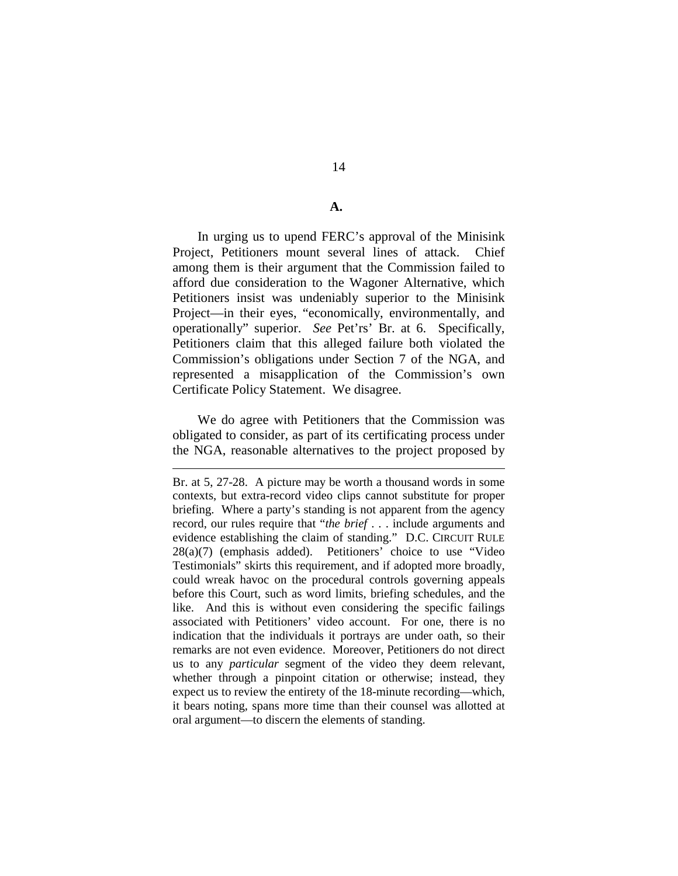## **A.**

In urging us to upend FERC's approval of the Minisink Project, Petitioners mount several lines of attack. Chief among them is their argument that the Commission failed to afford due consideration to the Wagoner Alternative, which Petitioners insist was undeniably superior to the Minisink Project—in their eyes, "economically, environmentally, and operationally" superior. *See* Pet'rs' Br. at 6. Specifically, Petitioners claim that this alleged failure both violated the Commission's obligations under Section 7 of the NGA, and represented a misapplication of the Commission's own Certificate Policy Statement. We disagree.

We do agree with Petitioners that the Commission was obligated to consider, as part of its certificating process under the NGA, reasonable alternatives to the project proposed by

 $\overline{a}$ 

Br. at 5, 27-28. A picture may be worth a thousand words in some contexts, but extra-record video clips cannot substitute for proper briefing. Where a party's standing is not apparent from the agency record, our rules require that "*the brief* . . . include arguments and evidence establishing the claim of standing." D.C. CIRCUIT RULE 28(a)(7) (emphasis added). Petitioners' choice to use "Video Testimonials" skirts this requirement, and if adopted more broadly, could wreak havoc on the procedural controls governing appeals before this Court, such as word limits, briefing schedules, and the like. And this is without even considering the specific failings associated with Petitioners' video account. For one, there is no indication that the individuals it portrays are under oath, so their remarks are not even evidence. Moreover, Petitioners do not direct us to any *particular* segment of the video they deem relevant, whether through a pinpoint citation or otherwise; instead, they expect us to review the entirety of the 18-minute recording—which, it bears noting, spans more time than their counsel was allotted at oral argument—to discern the elements of standing.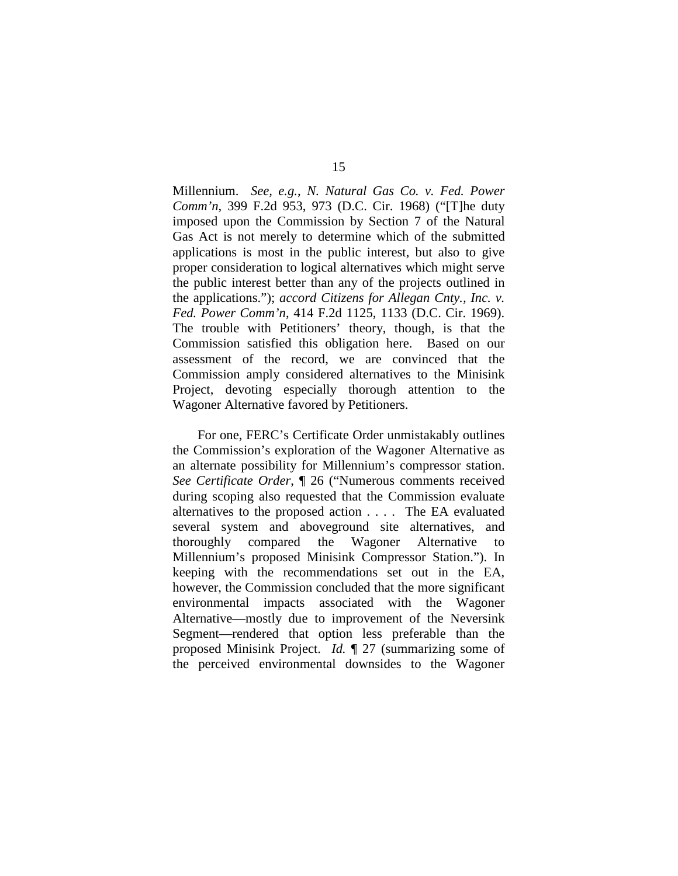Millennium. *See, e.g.*, *N. Natural Gas Co. v. Fed. Power Comm'n*, 399 F.2d 953, 973 (D.C. Cir. 1968) ("[T]he duty imposed upon the Commission by Section 7 of the Natural Gas Act is not merely to determine which of the submitted applications is most in the public interest, but also to give proper consideration to logical alternatives which might serve the public interest better than any of the projects outlined in the applications."); *accord Citizens for Allegan Cnty., Inc. v. Fed. Power Comm'n*, 414 F.2d 1125, 1133 (D.C. Cir. 1969). The trouble with Petitioners' theory, though, is that the Commission satisfied this obligation here. Based on our assessment of the record, we are convinced that the Commission amply considered alternatives to the Minisink Project, devoting especially thorough attention to the Wagoner Alternative favored by Petitioners.

For one, FERC's Certificate Order unmistakably outlines the Commission's exploration of the Wagoner Alternative as an alternate possibility for Millennium's compressor station. *See Certificate Order*, ¶ 26 ("Numerous comments received during scoping also requested that the Commission evaluate alternatives to the proposed action . . . . The EA evaluated several system and aboveground site alternatives, and thoroughly compared the Wagoner Alternative to Millennium's proposed Minisink Compressor Station."). In keeping with the recommendations set out in the EA, however, the Commission concluded that the more significant environmental impacts associated with the Wagoner Alternative—mostly due to improvement of the Neversink Segment—rendered that option less preferable than the proposed Minisink Project. *Id.* ¶ 27 (summarizing some of the perceived environmental downsides to the Wagoner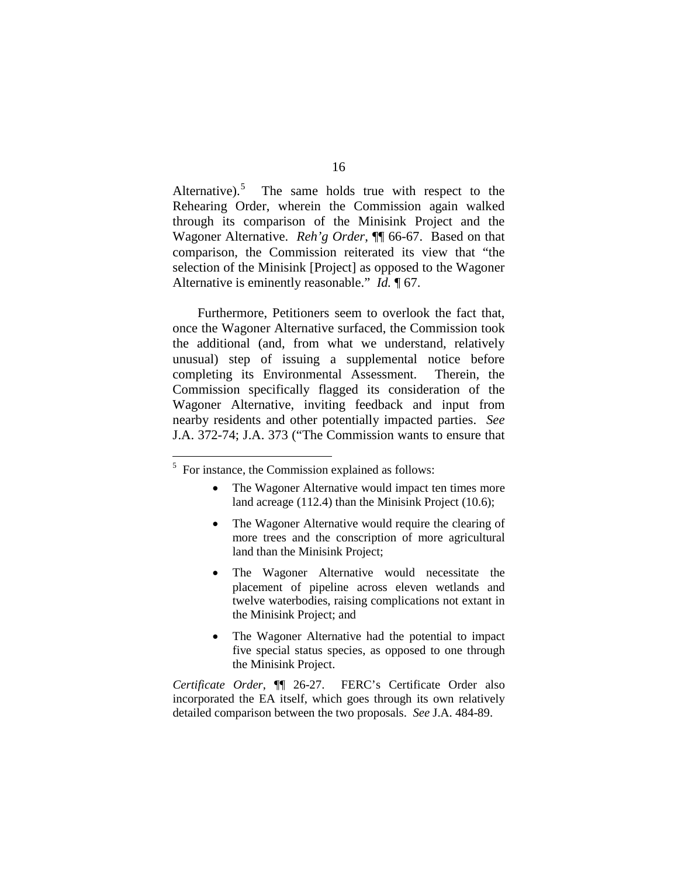Alternative).<sup>5</sup> The same holds true with respect to the Rehearing Order, wherein the Commission again walked through its comparison of the Minisink Project and the Wagoner Alternative. *Reh'g Order*, ¶¶ 66-67. Based on that comparison, the Commission reiterated its view that "the selection of the Minisink [Project] as opposed to the Wagoner Alternative is eminently reasonable." *Id.* ¶ 67.

Furthermore, Petitioners seem to overlook the fact that, once the Wagoner Alternative surfaced, the Commission took the additional (and, from what we understand, relatively unusual) step of issuing a supplemental notice before completing its Environmental Assessment. Therein, the Commission specifically flagged its consideration of the Wagoner Alternative, inviting feedback and input from nearby residents and other potentially impacted parties. *See*  J.A. 372-74; J.A. 373 ("The Commission wants to ensure that

- The Wagoner Alternative would impact ten times more land acreage (112.4) than the Minisink Project (10.6);
- The Wagoner Alternative would require the clearing of more trees and the conscription of more agricultural land than the Minisink Project;
- The Wagoner Alternative would necessitate the placement of pipeline across eleven wetlands and twelve waterbodies, raising complications not extant in the Minisink Project; and
- The Wagoner Alternative had the potential to impact five special status species, as opposed to one through the Minisink Project.

*Certificate Order*, ¶¶ 26-27. FERC's Certificate Order also incorporated the EA itself, which goes through its own relatively detailed comparison between the two proposals. *See* J.A. 484-89.

<span id="page-15-0"></span> <sup>5</sup>  $5$  For instance, the Commission explained as follows: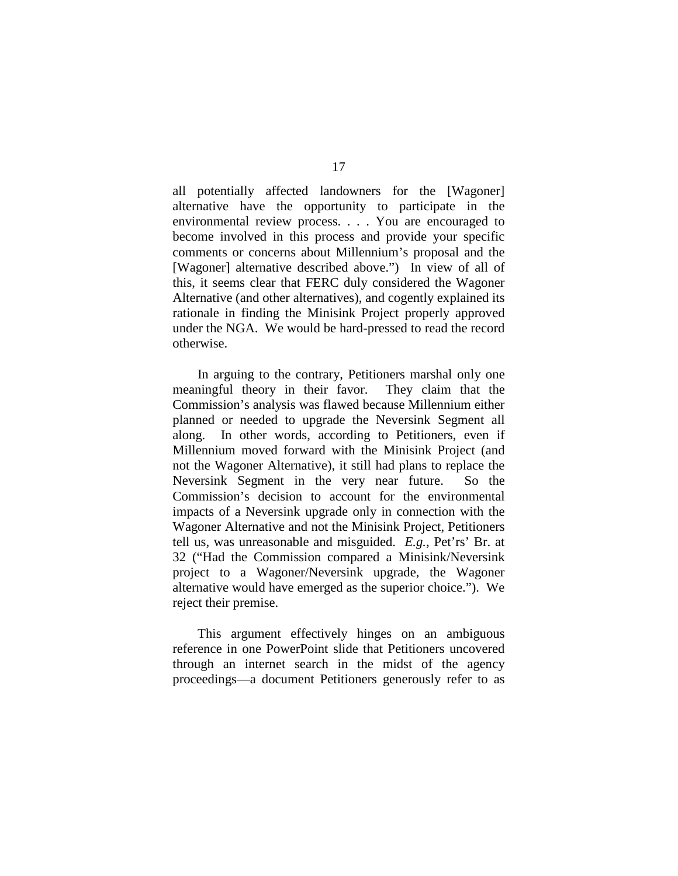all potentially affected landowners for the [Wagoner] alternative have the opportunity to participate in the environmental review process. . . . You are encouraged to become involved in this process and provide your specific comments or concerns about Millennium's proposal and the [Wagoner] alternative described above.") In view of all of this, it seems clear that FERC duly considered the Wagoner Alternative (and other alternatives), and cogently explained its rationale in finding the Minisink Project properly approved under the NGA. We would be hard-pressed to read the record otherwise.

In arguing to the contrary, Petitioners marshal only one meaningful theory in their favor. They claim that the Commission's analysis was flawed because Millennium either planned or needed to upgrade the Neversink Segment all along. In other words, according to Petitioners, even if Millennium moved forward with the Minisink Project (and not the Wagoner Alternative), it still had plans to replace the Neversink Segment in the very near future. So the Commission's decision to account for the environmental impacts of a Neversink upgrade only in connection with the Wagoner Alternative and not the Minisink Project, Petitioners tell us, was unreasonable and misguided. *E.g.*, Pet'rs' Br. at 32 ("Had the Commission compared a Minisink/Neversink project to a Wagoner/Neversink upgrade, the Wagoner alternative would have emerged as the superior choice."). We reject their premise.

This argument effectively hinges on an ambiguous reference in one PowerPoint slide that Petitioners uncovered through an internet search in the midst of the agency proceedings—a document Petitioners generously refer to as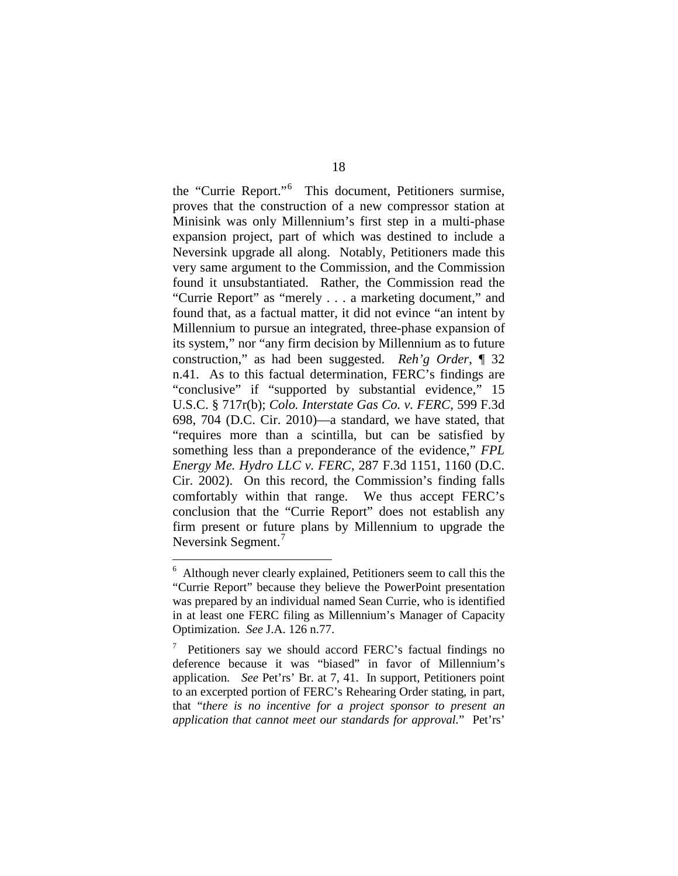the "Currie Report."[6](#page-17-0) This document, Petitioners surmise, proves that the construction of a new compressor station at Minisink was only Millennium's first step in a multi-phase expansion project, part of which was destined to include a Neversink upgrade all along. Notably, Petitioners made this very same argument to the Commission, and the Commission found it unsubstantiated. Rather, the Commission read the "Currie Report" as "merely . . . a marketing document," and found that, as a factual matter, it did not evince "an intent by Millennium to pursue an integrated, three-phase expansion of its system," nor "any firm decision by Millennium as to future construction," as had been suggested. *Reh'g Order*, ¶ 32 n.41. As to this factual determination, FERC's findings are "conclusive" if "supported by substantial evidence," 15 U.S.C. § 717r(b); *Colo. Interstate Gas Co. v. FERC*, 599 F.3d 698, 704 (D.C. Cir. 2010)—a standard, we have stated, that "requires more than a scintilla, but can be satisfied by something less than a preponderance of the evidence," *FPL Energy Me. Hydro LLC v. FERC*, 287 F.3d 1151, 1160 (D.C. Cir. 2002). On this record, the Commission's finding falls comfortably within that range. We thus accept FERC's conclusion that the "Currie Report" does not establish any firm present or future plans by Millennium to upgrade the Neversink Segment.<sup>[7](#page-17-1)</sup>

<span id="page-17-0"></span> <sup>6</sup> Although never clearly explained, Petitioners seem to call this the "Currie Report" because they believe the PowerPoint presentation was prepared by an individual named Sean Currie, who is identified in at least one FERC filing as Millennium's Manager of Capacity Optimization. *See* J.A. 126 n.77.

<span id="page-17-1"></span><sup>7</sup> Petitioners say we should accord FERC's factual findings no deference because it was "biased" in favor of Millennium's application. *See* Pet'rs' Br. at 7, 41. In support, Petitioners point to an excerpted portion of FERC's Rehearing Order stating, in part, that "*there is no incentive for a project sponsor to present an application that cannot meet our standards for approval.*" Pet'rs'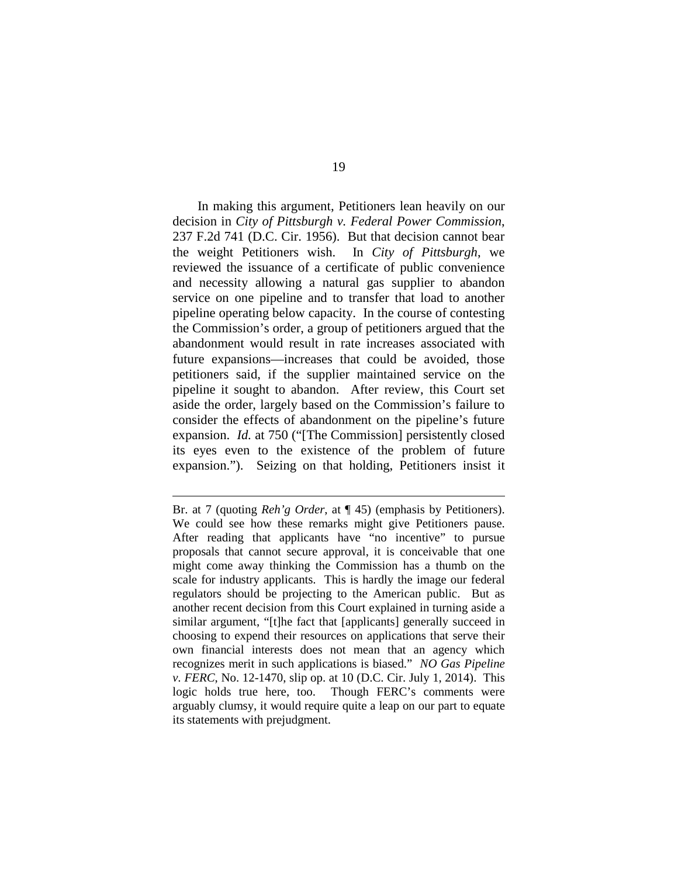In making this argument, Petitioners lean heavily on our decision in *City of Pittsburgh v. Federal Power Commission*, 237 F.2d 741 (D.C. Cir. 1956). But that decision cannot bear the weight Petitioners wish. In *City of Pittsburgh*, we reviewed the issuance of a certificate of public convenience and necessity allowing a natural gas supplier to abandon service on one pipeline and to transfer that load to another pipeline operating below capacity. In the course of contesting the Commission's order, a group of petitioners argued that the abandonment would result in rate increases associated with future expansions—increases that could be avoided, those petitioners said, if the supplier maintained service on the pipeline it sought to abandon. After review, this Court set aside the order, largely based on the Commission's failure to consider the effects of abandonment on the pipeline's future expansion. *Id.* at 750 ("[The Commission] persistently closed its eyes even to the existence of the problem of future expansion."). Seizing on that holding, Petitioners insist it

 $\overline{a}$ 

Br. at 7 (quoting *Reh'g Order*, at ¶ 45) (emphasis by Petitioners). We could see how these remarks might give Petitioners pause. After reading that applicants have "no incentive" to pursue proposals that cannot secure approval, it is conceivable that one might come away thinking the Commission has a thumb on the scale for industry applicants. This is hardly the image our federal regulators should be projecting to the American public. But as another recent decision from this Court explained in turning aside a similar argument, "[t]he fact that [applicants] generally succeed in choosing to expend their resources on applications that serve their own financial interests does not mean that an agency which recognizes merit in such applications is biased." *NO Gas Pipeline v. FERC*, No. 12-1470, slip op. at 10 (D.C. Cir. July 1, 2014). This logic holds true here, too. Though FERC's comments were arguably clumsy, it would require quite a leap on our part to equate its statements with prejudgment.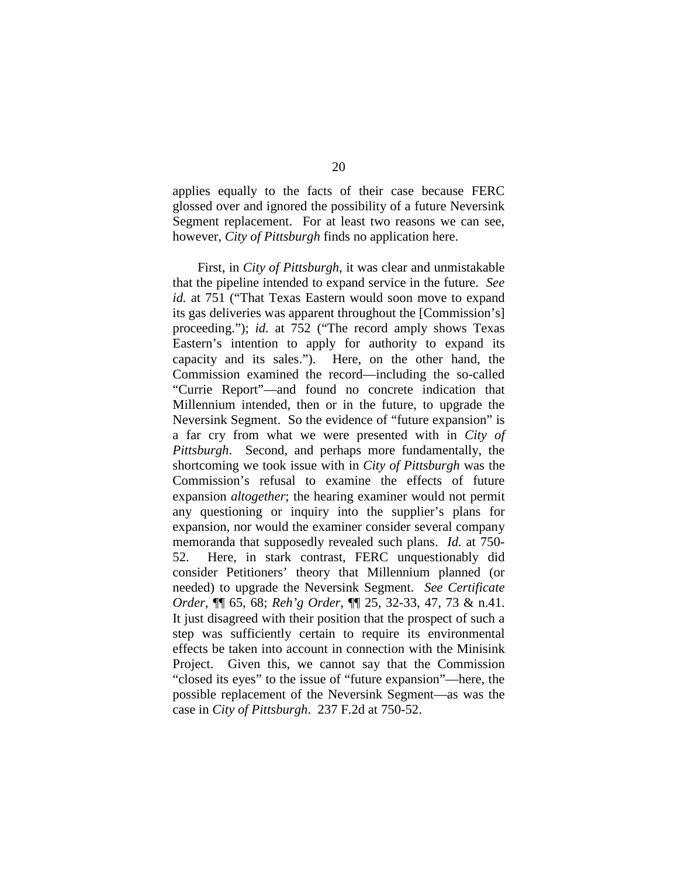applies equally to the facts of their case because FERC glossed over and ignored the possibility of a future Neversink Segment replacement. For at least two reasons we can see, however, *City of Pittsburgh* finds no application here.

First, in *City of Pittsburgh*, it was clear and unmistakable that the pipeline intended to expand service in the future. *See id.* at 751 ("That Texas Eastern would soon move to expand its gas deliveries was apparent throughout the [Commission's] proceeding."); *id.* at 752 ("The record amply shows Texas Eastern's intention to apply for authority to expand its capacity and its sales."). Here, on the other hand, the Commission examined the record—including the so-called "Currie Report"—and found no concrete indication that Millennium intended, then or in the future, to upgrade the Neversink Segment. So the evidence of "future expansion" is a far cry from what we were presented with in *City of Pittsburgh*. Second, and perhaps more fundamentally, the shortcoming we took issue with in *City of Pittsburgh* was the Commission's refusal to examine the effects of future expansion *altogether*; the hearing examiner would not permit any questioning or inquiry into the supplier's plans for expansion, nor would the examiner consider several company memoranda that supposedly revealed such plans. *Id.* at 750- 52. Here, in stark contrast, FERC unquestionably did consider Petitioners' theory that Millennium planned (or needed) to upgrade the Neversink Segment. *See Certificate Order*, ¶¶ 65, 68; *Reh'g Order*, ¶¶ 25, 32-33, 47, 73 & n.41. It just disagreed with their position that the prospect of such a step was sufficiently certain to require its environmental effects be taken into account in connection with the Minisink Project. Given this, we cannot say that the Commission "closed its eyes" to the issue of "future expansion"—here, the possible replacement of the Neversink Segment—as was the case in *City of Pittsburgh*. 237 F.2d at 750-52.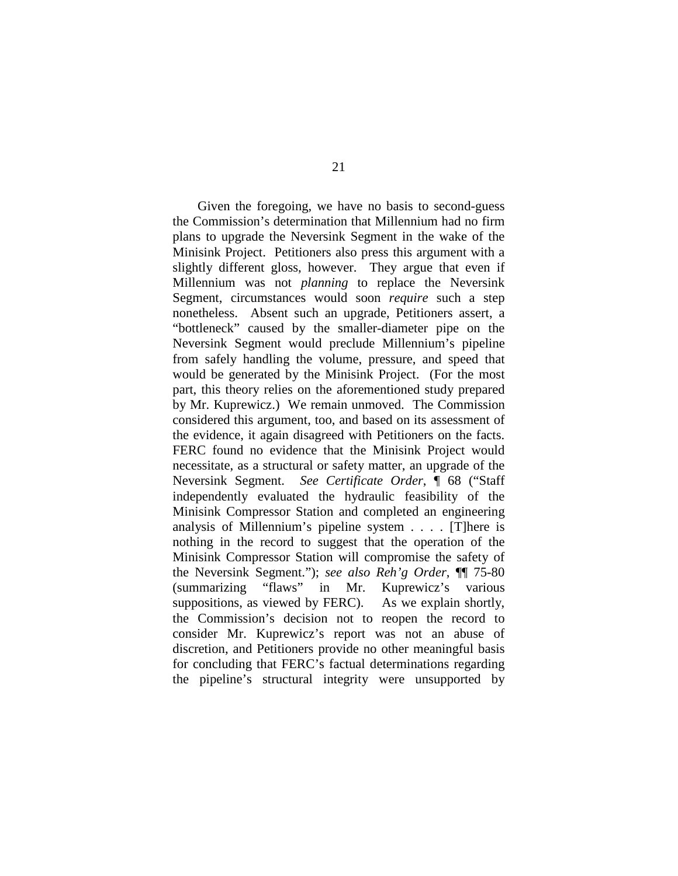Given the foregoing, we have no basis to second-guess the Commission's determination that Millennium had no firm plans to upgrade the Neversink Segment in the wake of the Minisink Project. Petitioners also press this argument with a slightly different gloss, however. They argue that even if Millennium was not *planning* to replace the Neversink Segment, circumstances would soon *require* such a step nonetheless. Absent such an upgrade, Petitioners assert, a "bottleneck" caused by the smaller-diameter pipe on the Neversink Segment would preclude Millennium's pipeline from safely handling the volume, pressure, and speed that would be generated by the Minisink Project. (For the most part, this theory relies on the aforementioned study prepared by Mr. Kuprewicz.) We remain unmoved. The Commission considered this argument, too, and based on its assessment of the evidence, it again disagreed with Petitioners on the facts. FERC found no evidence that the Minisink Project would necessitate, as a structural or safety matter, an upgrade of the Neversink Segment. *See Certificate Order*, ¶ 68 ("Staff independently evaluated the hydraulic feasibility of the Minisink Compressor Station and completed an engineering analysis of Millennium's pipeline system . . . . [T]here is nothing in the record to suggest that the operation of the Minisink Compressor Station will compromise the safety of the Neversink Segment."); *see also Reh'g Order*, ¶¶ 75-80 (summarizing "flaws" in Mr. Kuprewicz's various suppositions, as viewed by FERC). As we explain shortly, the Commission's decision not to reopen the record to consider Mr. Kuprewicz's report was not an abuse of discretion, and Petitioners provide no other meaningful basis for concluding that FERC's factual determinations regarding the pipeline's structural integrity were unsupported by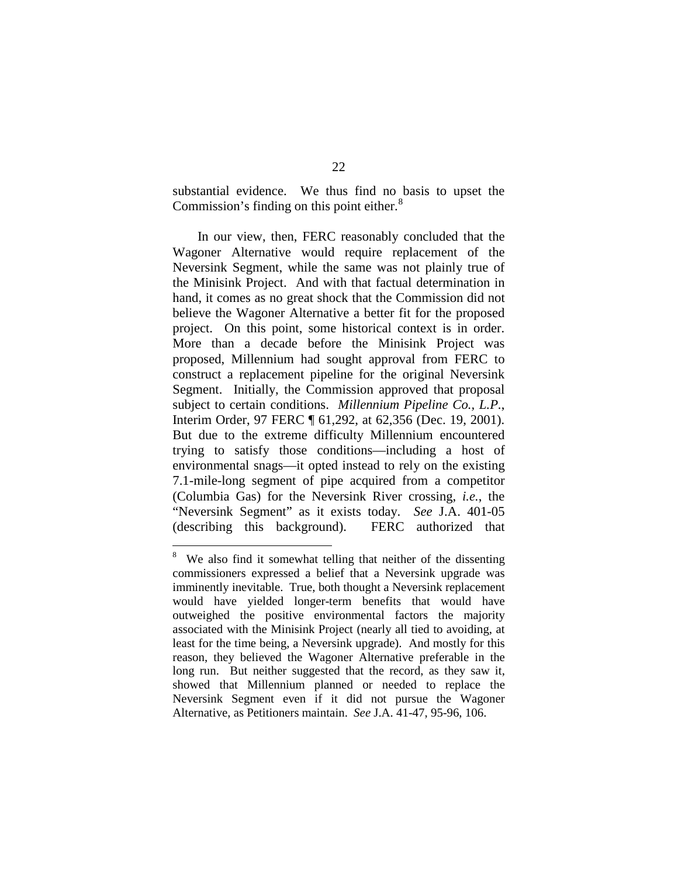substantial evidence. We thus find no basis to upset the Commission's finding on this point either.<sup>[8](#page-21-0)</sup>

In our view, then, FERC reasonably concluded that the Wagoner Alternative would require replacement of the Neversink Segment, while the same was not plainly true of the Minisink Project. And with that factual determination in hand, it comes as no great shock that the Commission did not believe the Wagoner Alternative a better fit for the proposed project. On this point, some historical context is in order. More than a decade before the Minisink Project was proposed, Millennium had sought approval from FERC to construct a replacement pipeline for the original Neversink Segment. Initially, the Commission approved that proposal subject to certain conditions. *Millennium Pipeline Co., L.P.*, Interim Order, 97 FERC ¶ 61,292, at 62,356 (Dec. 19, 2001). But due to the extreme difficulty Millennium encountered trying to satisfy those conditions—including a host of environmental snags—it opted instead to rely on the existing 7.1-mile-long segment of pipe acquired from a competitor (Columbia Gas) for the Neversink River crossing, *i.e.*, the "Neversink Segment" as it exists today. *See* J.A. 401-05 (describing this background). FERC authorized that

<span id="page-21-0"></span> <sup>8</sup> We also find it somewhat telling that neither of the dissenting commissioners expressed a belief that a Neversink upgrade was imminently inevitable. True, both thought a Neversink replacement would have yielded longer-term benefits that would have outweighed the positive environmental factors the majority associated with the Minisink Project (nearly all tied to avoiding, at least for the time being, a Neversink upgrade). And mostly for this reason, they believed the Wagoner Alternative preferable in the long run. But neither suggested that the record, as they saw it, showed that Millennium planned or needed to replace the Neversink Segment even if it did not pursue the Wagoner Alternative, as Petitioners maintain. *See* J.A. 41-47, 95-96, 106.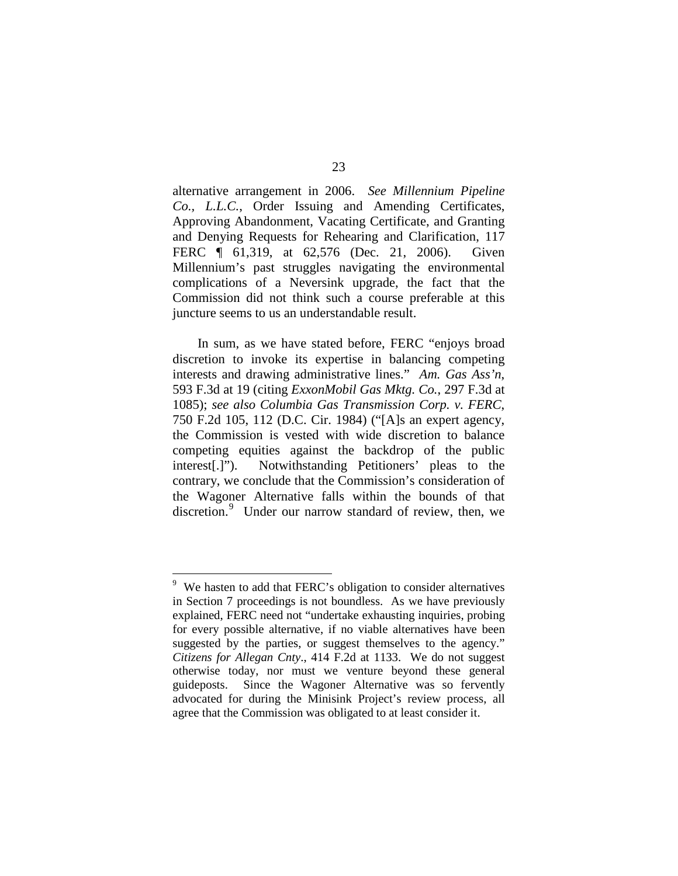alternative arrangement in 2006. *See Millennium Pipeline Co., L.L.C.*, Order Issuing and Amending Certificates, Approving Abandonment, Vacating Certificate, and Granting and Denying Requests for Rehearing and Clarification, 117 FERC ¶ 61,319, at 62,576 (Dec. 21, 2006). Given Millennium's past struggles navigating the environmental complications of a Neversink upgrade, the fact that the Commission did not think such a course preferable at this juncture seems to us an understandable result.

In sum, as we have stated before, FERC "enjoys broad discretion to invoke its expertise in balancing competing interests and drawing administrative lines." *Am. Gas Ass'n*, 593 F.3d at 19 (citing *ExxonMobil Gas Mktg. Co.*, 297 F.3d at 1085); *see also Columbia Gas Transmission Corp. v. FERC*, 750 F.2d 105, 112 (D.C. Cir. 1984) ("[A]s an expert agency, the Commission is vested with wide discretion to balance competing equities against the backdrop of the public interest[.]"). Notwithstanding Petitioners' pleas to the contrary, we conclude that the Commission's consideration of the Wagoner Alternative falls within the bounds of that discretion.<sup>[9](#page-22-0)</sup> Under our narrow standard of review, then, we

<span id="page-22-0"></span><sup>-&</sup>lt;br>9  $9\,$  We hasten to add that FERC's obligation to consider alternatives in Section 7 proceedings is not boundless. As we have previously explained, FERC need not "undertake exhausting inquiries, probing for every possible alternative, if no viable alternatives have been suggested by the parties, or suggest themselves to the agency." *Citizens for Allegan Cnty*., 414 F.2d at 1133. We do not suggest otherwise today, nor must we venture beyond these general guideposts. Since the Wagoner Alternative was so fervently advocated for during the Minisink Project's review process, all agree that the Commission was obligated to at least consider it.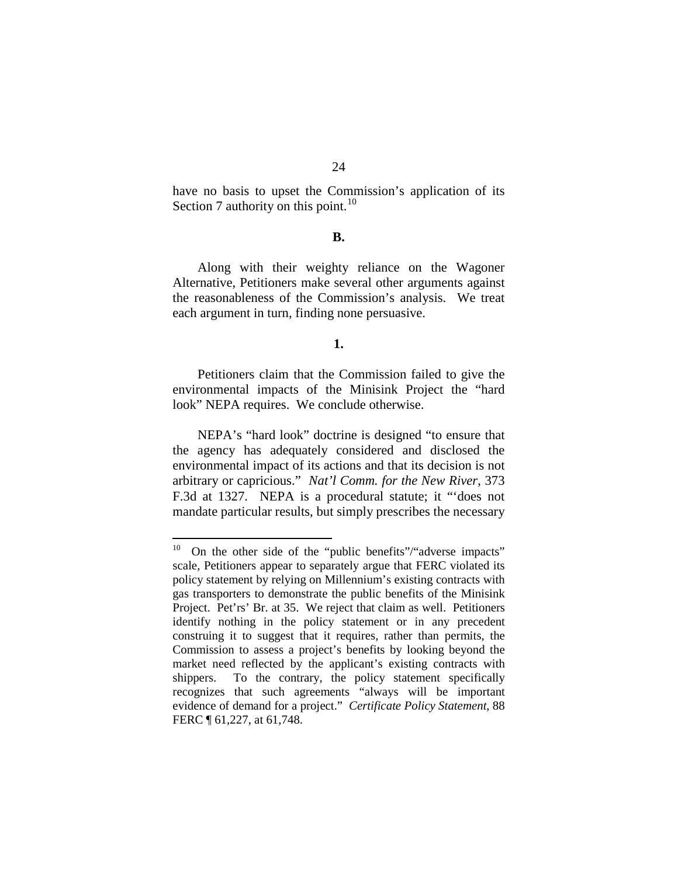24

have no basis to upset the Commission's application of its Section 7 authority on this point. $^{10}$  $^{10}$  $^{10}$ 

### **B.**

Along with their weighty reliance on the Wagoner Alternative, Petitioners make several other arguments against the reasonableness of the Commission's analysis. We treat each argument in turn, finding none persuasive.

## **1.**

Petitioners claim that the Commission failed to give the environmental impacts of the Minisink Project the "hard look" NEPA requires. We conclude otherwise.

NEPA's "hard look" doctrine is designed "to ensure that the agency has adequately considered and disclosed the environmental impact of its actions and that its decision is not arbitrary or capricious." *Nat'l Comm. for the New River*, 373 F.3d at 1327. NEPA is a procedural statute; it "'does not mandate particular results, but simply prescribes the necessary

<span id="page-23-0"></span> $10$  On the other side of the "public benefits"/"adverse impacts" scale, Petitioners appear to separately argue that FERC violated its policy statement by relying on Millennium's existing contracts with gas transporters to demonstrate the public benefits of the Minisink Project. Pet'rs' Br. at 35. We reject that claim as well. Petitioners identify nothing in the policy statement or in any precedent construing it to suggest that it requires, rather than permits, the Commission to assess a project's benefits by looking beyond the market need reflected by the applicant's existing contracts with shippers. To the contrary, the policy statement specifically recognizes that such agreements "always will be important evidence of demand for a project." *Certificate Policy Statement*, 88 FERC  $\P$  61,227, at 61,748.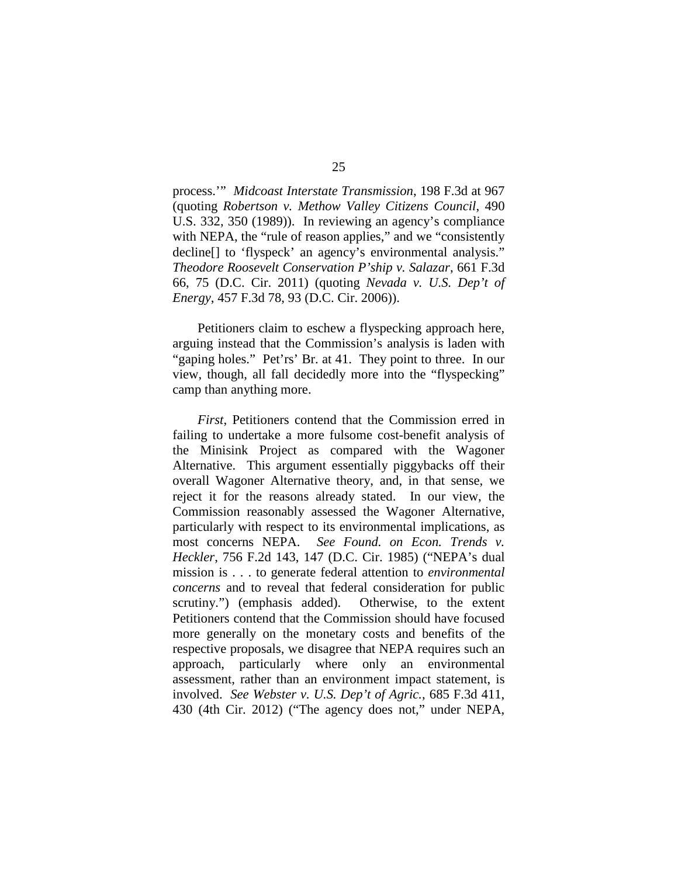process.'" *Midcoast Interstate Transmission*, 198 F.3d at 967 (quoting *Robertson v. Methow Valley Citizens Council*, 490 U.S. 332, 350 (1989)). In reviewing an agency's compliance with NEPA, the "rule of reason applies," and we "consistently decline[] to 'flyspeck' an agency's environmental analysis." *Theodore Roosevelt Conservation P'ship v. Salazar*, 661 F.3d 66, 75 (D.C. Cir. 2011) (quoting *Nevada v. U.S. Dep't of Energy*, 457 F.3d 78, 93 (D.C. Cir. 2006)).

Petitioners claim to eschew a flyspecking approach here, arguing instead that the Commission's analysis is laden with "gaping holes." Pet'rs' Br. at 41. They point to three. In our view, though, all fall decidedly more into the "flyspecking" camp than anything more.

*First*, Petitioners contend that the Commission erred in failing to undertake a more fulsome cost-benefit analysis of the Minisink Project as compared with the Wagoner Alternative. This argument essentially piggybacks off their overall Wagoner Alternative theory, and, in that sense, we reject it for the reasons already stated. In our view, the Commission reasonably assessed the Wagoner Alternative, particularly with respect to its environmental implications, as most concerns NEPA. *See Found. on Econ. Trends v. Heckler*, 756 F.2d 143, 147 (D.C. Cir. 1985) ("NEPA's dual mission is . . . to generate federal attention to *environmental concerns* and to reveal that federal consideration for public scrutiny.") (emphasis added). Otherwise, to the extent Petitioners contend that the Commission should have focused more generally on the monetary costs and benefits of the respective proposals, we disagree that NEPA requires such an approach, particularly where only an environmental assessment, rather than an environment impact statement, is involved. *See Webster v. U.S. Dep't of Agric.*, 685 F.3d 411, 430 (4th Cir. 2012) ("The agency does not," under NEPA,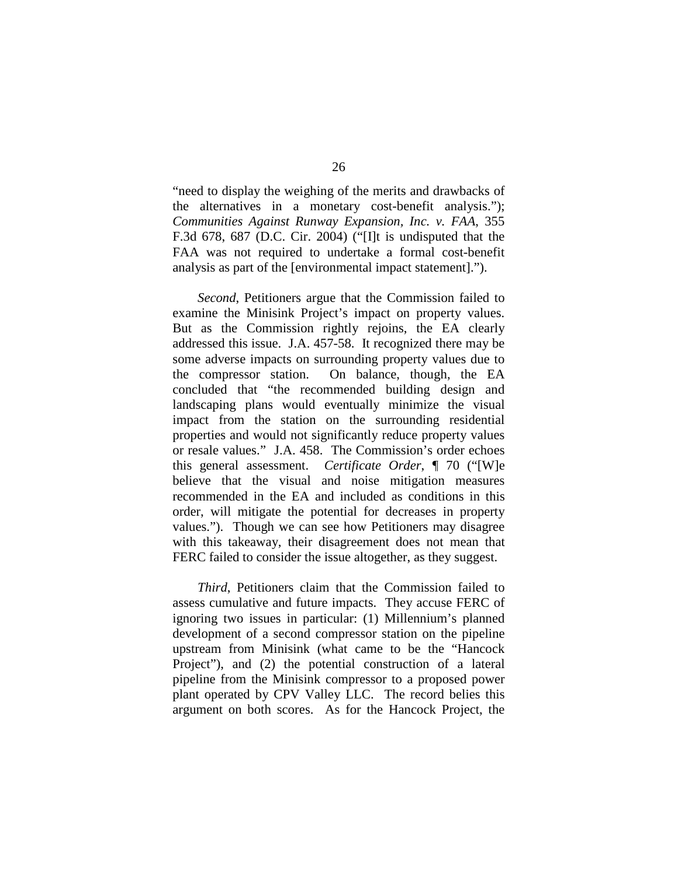"need to display the weighing of the merits and drawbacks of the alternatives in a monetary cost-benefit analysis."); *Communities Against Runway Expansion, Inc. v. FAA*, 355 F.3d 678, 687 (D.C. Cir. 2004) ("[I]t is undisputed that the FAA was not required to undertake a formal cost-benefit analysis as part of the [environmental impact statement].").

*Second*, Petitioners argue that the Commission failed to examine the Minisink Project's impact on property values. But as the Commission rightly rejoins, the EA clearly addressed this issue. J.A. 457-58. It recognized there may be some adverse impacts on surrounding property values due to the compressor station. On balance, though, the EA concluded that "the recommended building design and landscaping plans would eventually minimize the visual impact from the station on the surrounding residential properties and would not significantly reduce property values or resale values." J.A. 458. The Commission's order echoes this general assessment. *Certificate Order*, ¶ 70 ("[W]e believe that the visual and noise mitigation measures recommended in the EA and included as conditions in this order, will mitigate the potential for decreases in property values."). Though we can see how Petitioners may disagree with this takeaway, their disagreement does not mean that FERC failed to consider the issue altogether, as they suggest.

*Third*, Petitioners claim that the Commission failed to assess cumulative and future impacts. They accuse FERC of ignoring two issues in particular: (1) Millennium's planned development of a second compressor station on the pipeline upstream from Minisink (what came to be the "Hancock Project"), and (2) the potential construction of a lateral pipeline from the Minisink compressor to a proposed power plant operated by CPV Valley LLC. The record belies this argument on both scores. As for the Hancock Project, the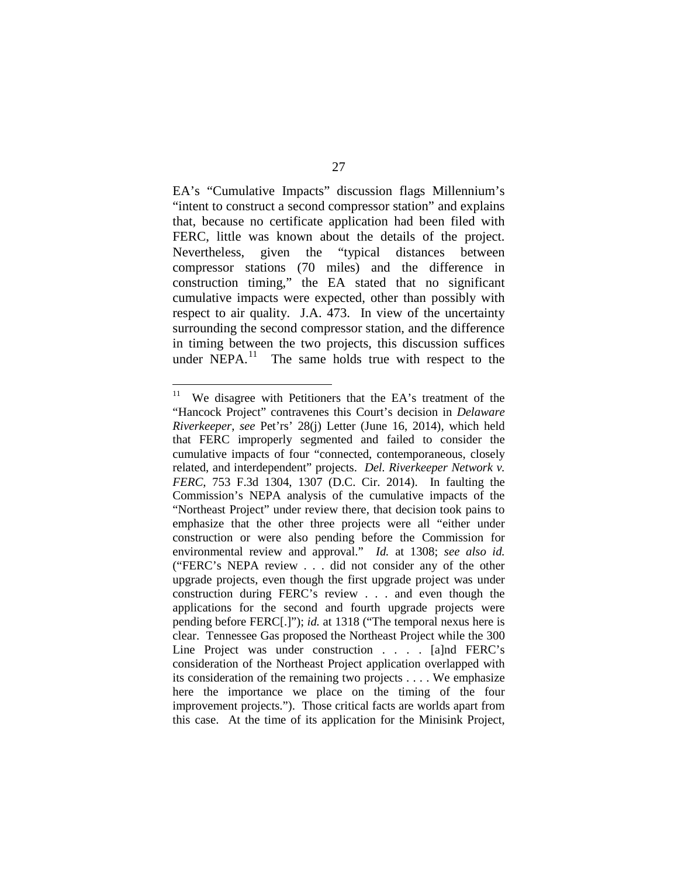EA's "Cumulative Impacts" discussion flags Millennium's "intent to construct a second compressor station" and explains that, because no certificate application had been filed with FERC, little was known about the details of the project. Nevertheless, given the "typical distances between compressor stations (70 miles) and the difference in construction timing," the EA stated that no significant cumulative impacts were expected, other than possibly with respect to air quality. J.A. 473. In view of the uncertainty surrounding the second compressor station, and the difference in timing between the two projects, this discussion suffices under NEPA. $^{11}$  The same holds true with respect to the

<span id="page-26-0"></span><sup>&</sup>lt;sup>11</sup> We disagree with Petitioners that the EA's treatment of the "Hancock Project" contravenes this Court's decision in *Delaware Riverkeeper*, *see* Pet'rs' 28(j) Letter (June 16, 2014), which held that FERC improperly segmented and failed to consider the cumulative impacts of four "connected, contemporaneous, closely related, and interdependent" projects. *Del. Riverkeeper Network v. FERC*, 753 F.3d 1304, 1307 (D.C. Cir. 2014). In faulting the Commission's NEPA analysis of the cumulative impacts of the "Northeast Project" under review there, that decision took pains to emphasize that the other three projects were all "either under construction or were also pending before the Commission for environmental review and approval." *Id.* at 1308; *see also id.*  ("FERC's NEPA review . . . did not consider any of the other upgrade projects, even though the first upgrade project was under construction during FERC's review . . . and even though the applications for the second and fourth upgrade projects were pending before FERC[.]"); *id.* at 1318 ("The temporal nexus here is clear. Tennessee Gas proposed the Northeast Project while the 300 Line Project was under construction . . . . [a]nd FERC's consideration of the Northeast Project application overlapped with its consideration of the remaining two projects . . . . We emphasize here the importance we place on the timing of the four improvement projects."). Those critical facts are worlds apart from this case. At the time of its application for the Minisink Project,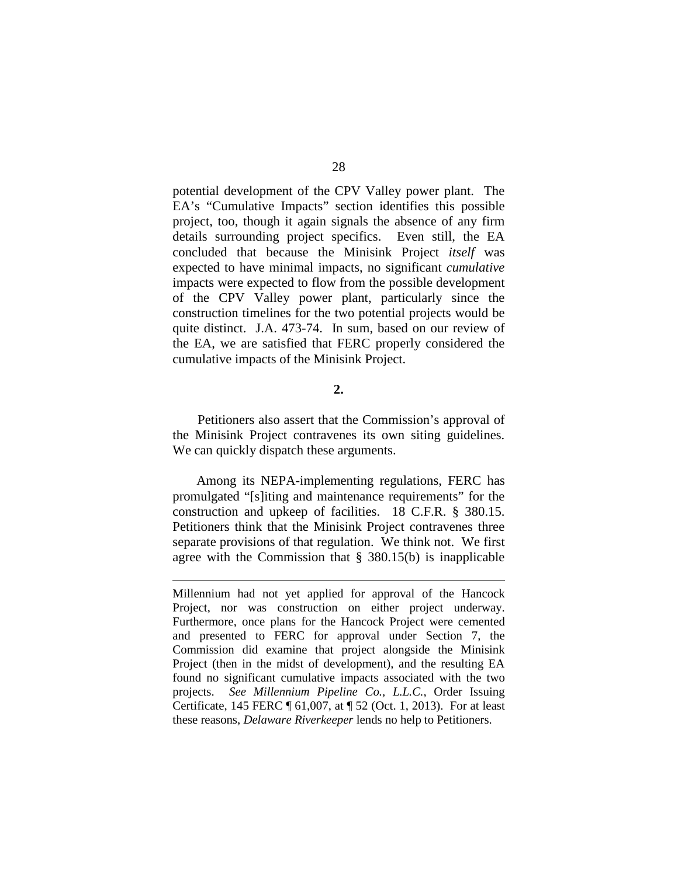potential development of the CPV Valley power plant. The EA's "Cumulative Impacts" section identifies this possible project, too, though it again signals the absence of any firm details surrounding project specifics. Even still, the EA concluded that because the Minisink Project *itself* was expected to have minimal impacts, no significant *cumulative* impacts were expected to flow from the possible development of the CPV Valley power plant, particularly since the construction timelines for the two potential projects would be quite distinct. J.A. 473-74. In sum, based on our review of the EA, we are satisfied that FERC properly considered the cumulative impacts of the Minisink Project.

### **2.**

Petitioners also assert that the Commission's approval of the Minisink Project contravenes its own siting guidelines. We can quickly dispatch these arguments.

Among its NEPA-implementing regulations, FERC has promulgated "[s]iting and maintenance requirements" for the construction and upkeep of facilities. 18 C.F.R. § 380.15. Petitioners think that the Minisink Project contravenes three separate provisions of that regulation. We think not. We first agree with the Commission that § 380.15(b) is inapplicable

 $\overline{a}$ 

Millennium had not yet applied for approval of the Hancock Project, nor was construction on either project underway. Furthermore, once plans for the Hancock Project were cemented and presented to FERC for approval under Section 7, the Commission did examine that project alongside the Minisink Project (then in the midst of development), and the resulting EA found no significant cumulative impacts associated with the two projects. *See Millennium Pipeline Co., L.L.C.*, Order Issuing Certificate, 145 FERC ¶ 61,007, at ¶ 52 (Oct. 1, 2013). For at least these reasons, *Delaware Riverkeeper* lends no help to Petitioners.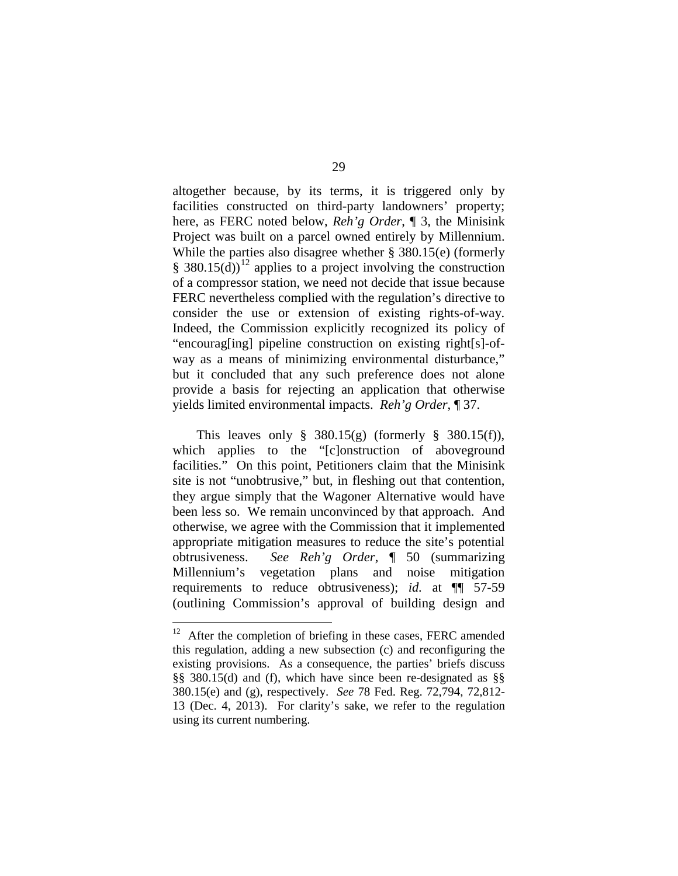altogether because, by its terms, it is triggered only by facilities constructed on third-party landowners' property; here, as FERC noted below, *Reh'g Order*, ¶ 3, the Minisink Project was built on a parcel owned entirely by Millennium. While the parties also disagree whether § 380.15(e) (formerly § 380.15(d))<sup>[12](#page-28-0)</sup> applies to a project involving the construction of a compressor station, we need not decide that issue because FERC nevertheless complied with the regulation's directive to consider the use or extension of existing rights-of-way. Indeed, the Commission explicitly recognized its policy of "encourag[ing] pipeline construction on existing right[s]-ofway as a means of minimizing environmental disturbance," but it concluded that any such preference does not alone provide a basis for rejecting an application that otherwise yields limited environmental impacts. *Reh'g Order*, ¶ 37.

This leaves only  $\S$  380.15(g) (formerly  $\S$  380.15(f)), which applies to the "[c]onstruction of aboveground facilities." On this point, Petitioners claim that the Minisink site is not "unobtrusive," but, in fleshing out that contention, they argue simply that the Wagoner Alternative would have been less so. We remain unconvinced by that approach. And otherwise, we agree with the Commission that it implemented appropriate mitigation measures to reduce the site's potential obtrusiveness. *See Reh'g Order*, ¶ 50 (summarizing Millennium's vegetation plans and noise mitigation requirements to reduce obtrusiveness); *id.* at ¶¶ 57-59 (outlining Commission's approval of building design and

<span id="page-28-0"></span> $12$  After the completion of briefing in these cases, FERC amended this regulation, adding a new subsection (c) and reconfiguring the existing provisions. As a consequence, the parties' briefs discuss §§ 380.15(d) and (f), which have since been re-designated as §§ 380.15(e) and (g), respectively. *See* 78 Fed. Reg. 72,794, 72,812- 13 (Dec. 4, 2013). For clarity's sake, we refer to the regulation using its current numbering.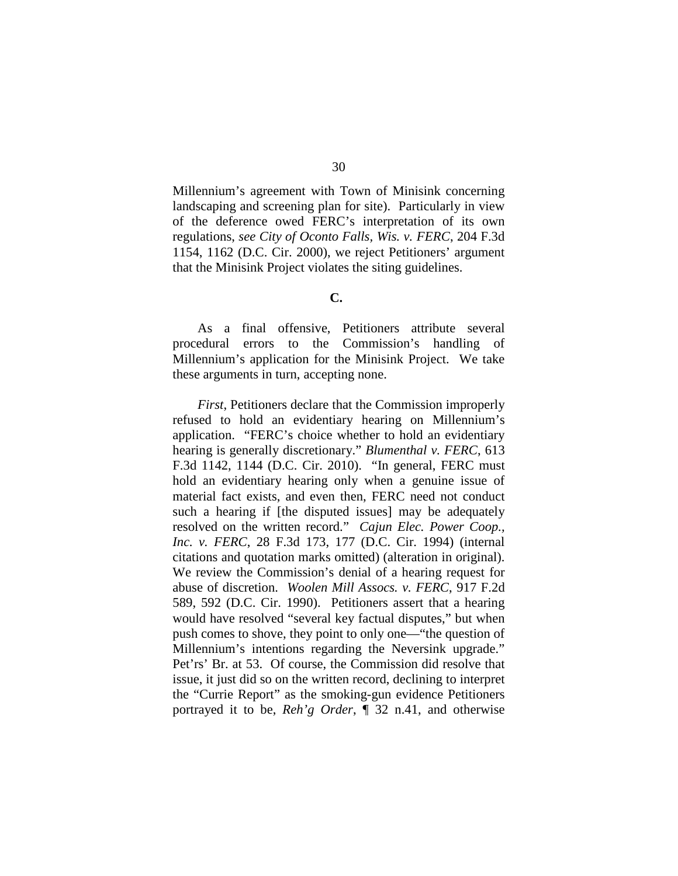Millennium's agreement with Town of Minisink concerning landscaping and screening plan for site). Particularly in view of the deference owed FERC's interpretation of its own regulations, *see City of Oconto Falls, Wis. v. FERC*, 204 F.3d 1154, 1162 (D.C. Cir. 2000), we reject Petitioners' argument that the Minisink Project violates the siting guidelines.

**C.**

As a final offensive, Petitioners attribute several procedural errors to the Commission's handling of Millennium's application for the Minisink Project. We take these arguments in turn, accepting none.

*First*, Petitioners declare that the Commission improperly refused to hold an evidentiary hearing on Millennium's application. "FERC's choice whether to hold an evidentiary hearing is generally discretionary." *Blumenthal v. FERC*, 613 F.3d 1142, 1144 (D.C. Cir. 2010). "In general, FERC must hold an evidentiary hearing only when a genuine issue of material fact exists, and even then, FERC need not conduct such a hearing if [the disputed issues] may be adequately resolved on the written record." *Cajun Elec. Power Coop., Inc. v. FERC*, 28 F.3d 173, 177 (D.C. Cir. 1994) (internal citations and quotation marks omitted) (alteration in original). We review the Commission's denial of a hearing request for abuse of discretion. *Woolen Mill Assocs. v. FERC*, 917 F.2d 589, 592 (D.C. Cir. 1990). Petitioners assert that a hearing would have resolved "several key factual disputes," but when push comes to shove, they point to only one—"the question of Millennium's intentions regarding the Neversink upgrade." Pet'rs' Br. at 53. Of course, the Commission did resolve that issue, it just did so on the written record, declining to interpret the "Currie Report" as the smoking-gun evidence Petitioners portrayed it to be, *Reh'g Order*, ¶ 32 n.41, and otherwise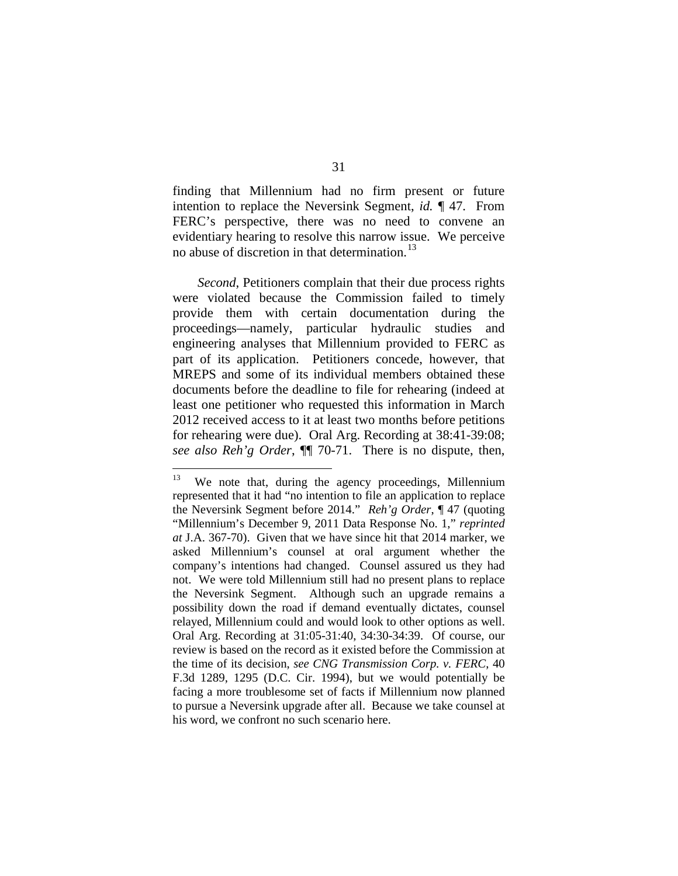finding that Millennium had no firm present or future intention to replace the Neversink Segment, *id.* ¶ 47. From FERC's perspective, there was no need to convene an evidentiary hearing to resolve this narrow issue. We perceive no abuse of discretion in that determination.<sup>[13](#page-30-0)</sup>

*Second*, Petitioners complain that their due process rights were violated because the Commission failed to timely provide them with certain documentation during the proceedings—namely, particular hydraulic studies and engineering analyses that Millennium provided to FERC as part of its application. Petitioners concede, however, that MREPS and some of its individual members obtained these documents before the deadline to file for rehearing (indeed at least one petitioner who requested this information in March 2012 received access to it at least two months before petitions for rehearing were due). Oral Arg. Recording at 38:41-39:08; *see also Reh'g Order*, ¶¶ 70-71. There is no dispute, then,

<span id="page-30-0"></span> $13$  We note that, during the agency proceedings, Millennium represented that it had "no intention to file an application to replace the Neversink Segment before 2014." *Reh'g Order*, ¶ 47 (quoting "Millennium's December 9, 2011 Data Response No. 1," *reprinted at* J.A. 367-70). Given that we have since hit that 2014 marker, we asked Millennium's counsel at oral argument whether the company's intentions had changed. Counsel assured us they had not. We were told Millennium still had no present plans to replace the Neversink Segment. Although such an upgrade remains a possibility down the road if demand eventually dictates, counsel relayed, Millennium could and would look to other options as well. Oral Arg. Recording at 31:05-31:40, 34:30-34:39. Of course, our review is based on the record as it existed before the Commission at the time of its decision, *see CNG Transmission Corp. v. FERC*, 40 F.3d 1289, 1295 (D.C. Cir. 1994), but we would potentially be facing a more troublesome set of facts if Millennium now planned to pursue a Neversink upgrade after all. Because we take counsel at his word, we confront no such scenario here.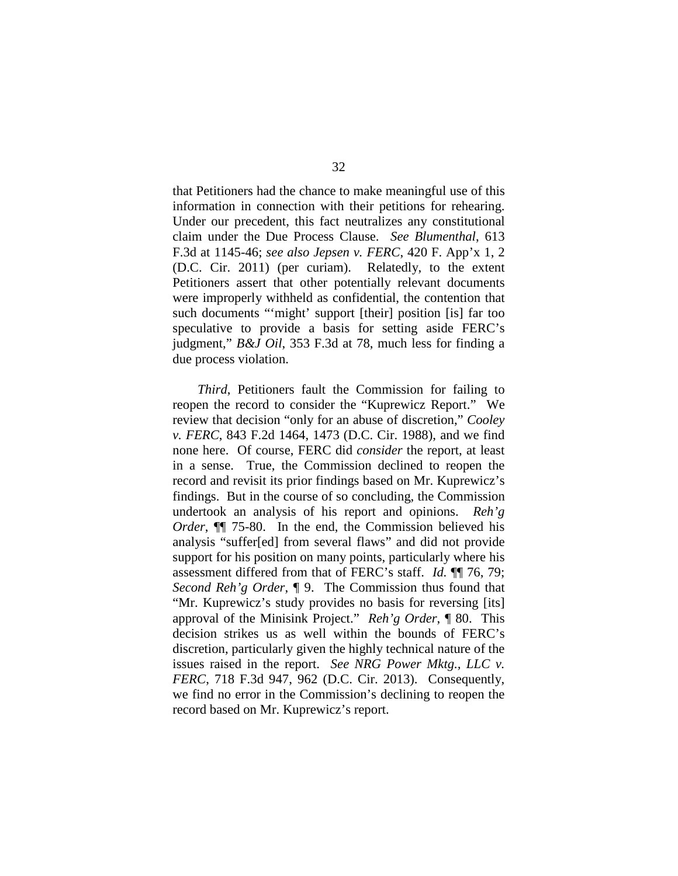that Petitioners had the chance to make meaningful use of this information in connection with their petitions for rehearing. Under our precedent, this fact neutralizes any constitutional claim under the Due Process Clause. *See Blumenthal*, 613 F.3d at 1145-46; *see also Jepsen v. FERC*, 420 F. App'x 1, 2 (D.C. Cir. 2011) (per curiam). Relatedly, to the extent Petitioners assert that other potentially relevant documents were improperly withheld as confidential, the contention that such documents "'might' support [their] position [is] far too speculative to provide a basis for setting aside FERC's judgment," *B&J Oil*, 353 F.3d at 78, much less for finding a due process violation.

*Third*, Petitioners fault the Commission for failing to reopen the record to consider the "Kuprewicz Report." We review that decision "only for an abuse of discretion," *Cooley v. FERC*, 843 F.2d 1464, 1473 (D.C. Cir. 1988), and we find none here. Of course, FERC did *consider* the report, at least in a sense. True, the Commission declined to reopen the record and revisit its prior findings based on Mr. Kuprewicz's findings. But in the course of so concluding, the Commission undertook an analysis of his report and opinions. *Reh'g Order*, ¶¶ 75-80. In the end, the Commission believed his analysis "suffer[ed] from several flaws" and did not provide support for his position on many points, particularly where his assessment differed from that of FERC's staff. *Id.* ¶¶ 76, 79; *Second Reh'g Order*, ¶ 9. The Commission thus found that "Mr. Kuprewicz's study provides no basis for reversing [its] approval of the Minisink Project." *Reh'g Order*, ¶ 80. This decision strikes us as well within the bounds of FERC's discretion, particularly given the highly technical nature of the issues raised in the report. *See NRG Power Mktg., LLC v. FERC*, 718 F.3d 947, 962 (D.C. Cir. 2013). Consequently, we find no error in the Commission's declining to reopen the record based on Mr. Kuprewicz's report.